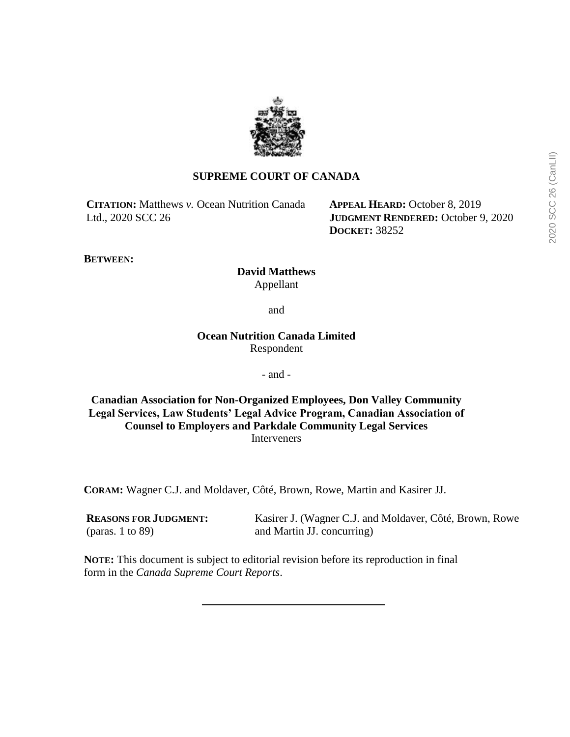

# **SUPREME COURT OF CANADA**

**CITATION:** Matthews *v.* Ocean Nutrition Canada Ltd., 2020 SCC 26

**APPEAL HEARD:** October 8, 2019 **JUDGMENT RENDERED:** October 9, 2020 **DOCKET:** 38252

**BETWEEN:**

**David Matthews** Appellant

and

**Ocean Nutrition Canada Limited** Respondent

- and -

**Canadian Association for Non-Organized Employees, Don Valley Community Legal Services, Law Students' Legal Advice Program, Canadian Association of Counsel to Employers and Parkdale Community Legal Services** Interveners

**CORAM:** Wagner C.J. and Moldaver, Côté, Brown, Rowe, Martin and Kasirer JJ.

**REASONS FOR JUDGMENT:** (paras. 1 to 89)

Kasirer J. (Wagner C.J. and Moldaver, Côté, Brown, Rowe and Martin JJ. concurring)

**NOTE:** This document is subject to editorial revision before its reproduction in final form in the *Canada Supreme Court Reports*.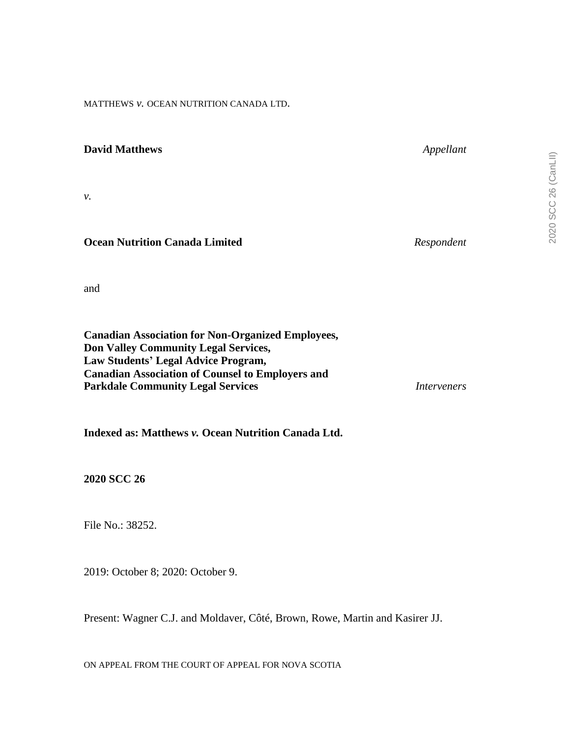MATTHEWS *v.* OCEAN NUTRITION CANADA LTD.

| <b>David Matthews</b>                 | Appellant  |
|---------------------------------------|------------|
| ν.                                    |            |
| <b>Ocean Nutrition Canada Limited</b> | Respondent |

and

| <b>Canadian Association for Non-Organized Employees,</b> |             |
|----------------------------------------------------------|-------------|
| <b>Don Valley Community Legal Services,</b>              |             |
| Law Students' Legal Advice Program,                      |             |
| <b>Canadian Association of Counsel to Employers and</b>  |             |
| <b>Parkdale Community Legal Services</b>                 | Interveners |

**Indexed as: Matthews** *v.* **Ocean Nutrition Canada Ltd.**

**2020 SCC 26**

File No.: 38252.

2019: October 8; 2020: October 9.

Present: Wagner C.J. and Moldaver, Côté, Brown, Rowe, Martin and Kasirer JJ.

ON APPEAL FROM THE COURT OF APPEAL FOR NOVA SCOTIA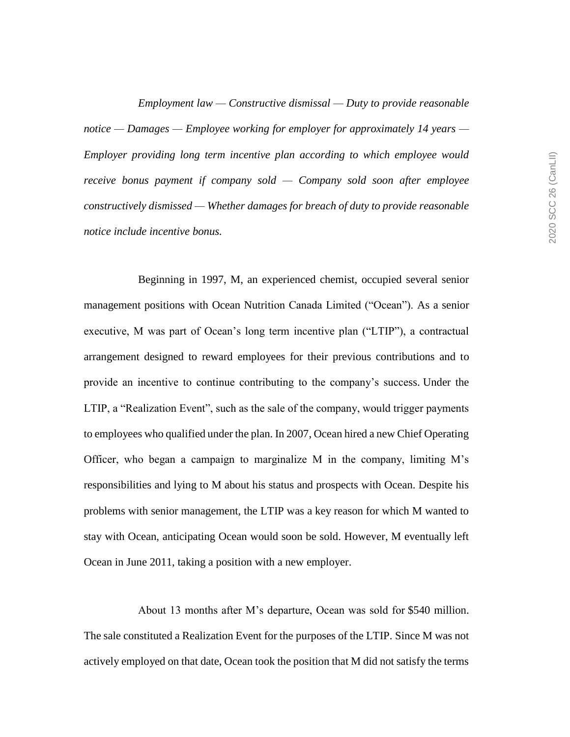*Employment law — Constructive dismissal — Duty to provide reasonable notice — Damages — Employee working for employer for approximately 14 years — Employer providing long term incentive plan according to which employee would receive bonus payment if company sold — Company sold soon after employee constructively dismissed — Whether damages for breach of duty to provide reasonable notice include incentive bonus.*

Beginning in 1997, M, an experienced chemist, occupied several senior management positions with Ocean Nutrition Canada Limited ("Ocean"). As a senior executive, M was part of Ocean's long term incentive plan ("LTIP"), a contractual arrangement designed to reward employees for their previous contributions and to provide an incentive to continue contributing to the company's success. Under the LTIP, a "Realization Event", such as the sale of the company, would trigger payments to employees who qualified under the plan. In 2007, Ocean hired a new Chief Operating Officer, who began a campaign to marginalize M in the company, limiting M's responsibilities and lying to M about his status and prospects with Ocean. Despite his problems with senior management, the LTIP was a key reason for which M wanted to stay with Ocean, anticipating Ocean would soon be sold. However, M eventually left Ocean in June 2011, taking a position with a new employer.

About 13 months after M's departure, Ocean was sold for \$540 million. The sale constituted a Realization Event for the purposes of the LTIP. Since M was not actively employed on that date, Ocean took the position that M did not satisfy the terms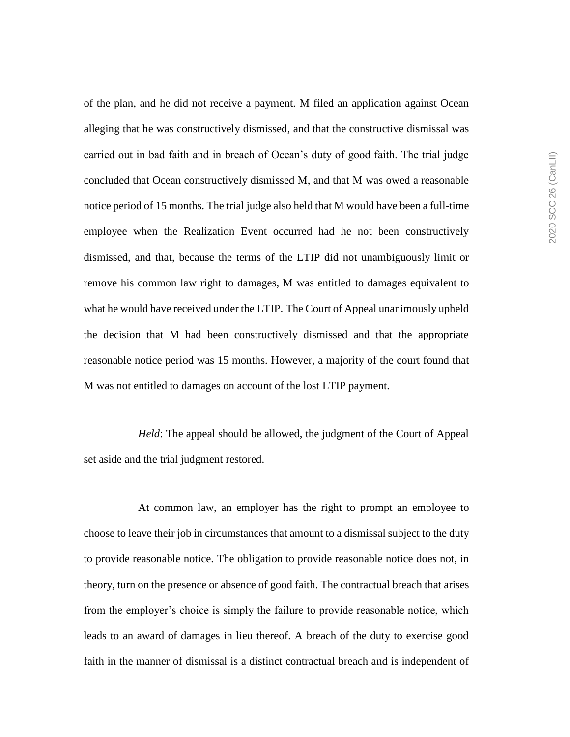of the plan, and he did not receive a payment. M filed an application against Ocean alleging that he was constructively dismissed, and that the constructive dismissal was carried out in bad faith and in breach of Ocean's duty of good faith. The trial judge concluded that Ocean constructively dismissed M, and that M was owed a reasonable notice period of 15 months. The trial judge also held that M would have been a full-time employee when the Realization Event occurred had he not been constructively dismissed, and that, because the terms of the LTIP did not unambiguously limit or remove his common law right to damages, M was entitled to damages equivalent to what he would have received under the LTIP. The Court of Appeal unanimously upheld the decision that M had been constructively dismissed and that the appropriate reasonable notice period was 15 months. However, a majority of the court found that M was not entitled to damages on account of the lost LTIP payment.

*Held*: The appeal should be allowed, the judgment of the Court of Appeal set aside and the trial judgment restored.

At common law, an employer has the right to prompt an employee to choose to leave their job in circumstances that amount to a dismissal subject to the duty to provide reasonable notice. The obligation to provide reasonable notice does not, in theory, turn on the presence or absence of good faith. The contractual breach that arises from the employer's choice is simply the failure to provide reasonable notice, which leads to an award of damages in lieu thereof. A breach of the duty to exercise good faith in the manner of dismissal is a distinct contractual breach and is independent of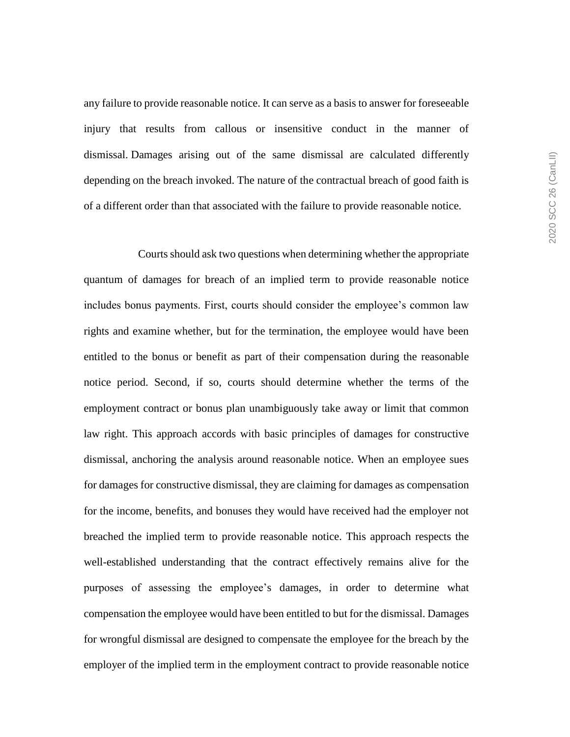any failure to provide reasonable notice. It can serve as a basis to answer for foreseeable injury that results from callous or insensitive conduct in the manner of dismissal. Damages arising out of the same dismissal are calculated differently depending on the breach invoked. The nature of the contractual breach of good faith is of a different order than that associated with the failure to provide reasonable notice.

Courts should ask two questions when determining whether the appropriate quantum of damages for breach of an implied term to provide reasonable notice includes bonus payments. First, courts should consider the employee's common law rights and examine whether, but for the termination, the employee would have been entitled to the bonus or benefit as part of their compensation during the reasonable notice period. Second, if so, courts should determine whether the terms of the employment contract or bonus plan unambiguously take away or limit that common law right. This approach accords with basic principles of damages for constructive dismissal, anchoring the analysis around reasonable notice. When an employee sues for damages for constructive dismissal, they are claiming for damages as compensation for the income, benefits, and bonuses they would have received had the employer not breached the implied term to provide reasonable notice. This approach respects the well-established understanding that the contract effectively remains alive for the purposes of assessing the employee's damages, in order to determine what compensation the employee would have been entitled to but for the dismissal. Damages for wrongful dismissal are designed to compensate the employee for the breach by the employer of the implied term in the employment contract to provide reasonable notice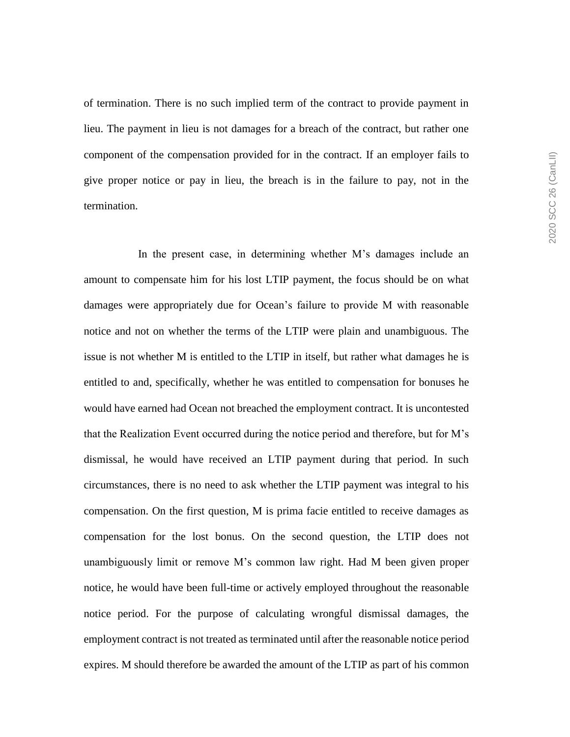of termination. There is no such implied term of the contract to provide payment in lieu. The payment in lieu is not damages for a breach of the contract, but rather one component of the compensation provided for in the contract. If an employer fails to give proper notice or pay in lieu, the breach is in the failure to pay, not in the termination.

In the present case, in determining whether M's damages include an amount to compensate him for his lost LTIP payment, the focus should be on what damages were appropriately due for Ocean's failure to provide M with reasonable notice and not on whether the terms of the LTIP were plain and unambiguous. The issue is not whether M is entitled to the LTIP in itself, but rather what damages he is entitled to and, specifically, whether he was entitled to compensation for bonuses he would have earned had Ocean not breached the employment contract. It is uncontested that the Realization Event occurred during the notice period and therefore, but for M's dismissal, he would have received an LTIP payment during that period. In such circumstances, there is no need to ask whether the LTIP payment was integral to his compensation. On the first question, M is prima facie entitled to receive damages as compensation for the lost bonus. On the second question, the LTIP does not unambiguously limit or remove M's common law right. Had M been given proper notice, he would have been full-time or actively employed throughout the reasonable notice period. For the purpose of calculating wrongful dismissal damages, the employment contract is not treated as terminated until after the reasonable notice period expires. M should therefore be awarded the amount of the LTIP as part of his common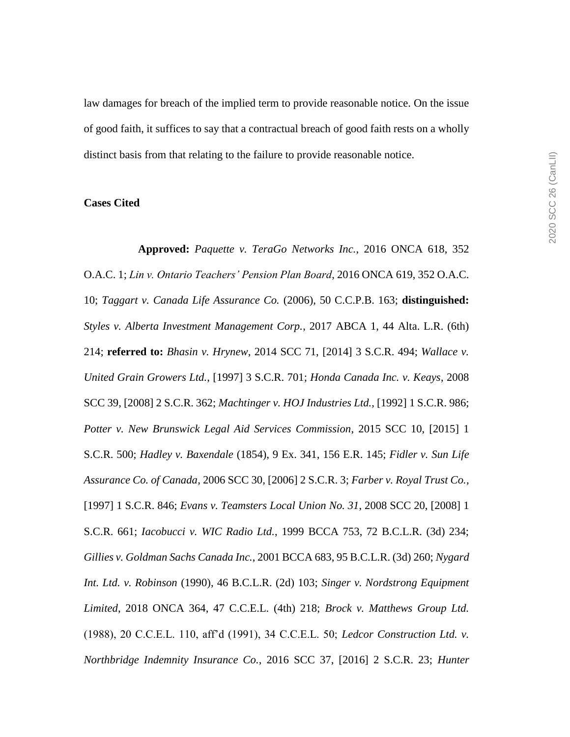law damages for breach of the implied term to provide reasonable notice. On the issue of good faith, it suffices to say that a contractual breach of good faith rests on a wholly distinct basis from that relating to the failure to provide reasonable notice.

## **Cases Cited**

**Approved:** *Paquette v. TeraGo Networks Inc.*, 2016 ONCA 618, 352 O.A.C. 1; *Lin v. Ontario Teachers' Pension Plan Board*, 2016 ONCA 619, 352 O.A.C. 10; *Taggart v. Canada Life Assurance Co.* (2006), 50 C.C.P.B. 163; **distinguished:** *Styles v. Alberta Investment Management Corp.*, 2017 ABCA 1, 44 Alta. L.R. (6th) 214; **referred to:** *Bhasin v. Hrynew*, 2014 SCC 71, [2014] 3 S.C.R. 494; *Wallace v. United Grain Growers Ltd.*, [1997] 3 S.C.R. 701; *Honda Canada Inc. v. Keays*, 2008 SCC 39, [2008] 2 S.C.R. 362; *Machtinger v. HOJ Industries Ltd.*, [1992] 1 S.C.R. 986; *Potter v. New Brunswick Legal Aid Services Commission*, 2015 SCC 10, [2015] 1 S.C.R. 500; *Hadley v. Baxendale* (1854), 9 Ex. 341, 156 E.R. 145; *Fidler v. Sun Life Assurance Co. of Canada*, 2006 SCC 30, [2006] 2 S.C.R. 3; *Farber v. Royal Trust Co.*, [1997] 1 S.C.R. 846; *Evans v. Teamsters Local Union No. 31*, 2008 SCC 20, [2008] 1 S.C.R. 661; *Iacobucci v. WIC Radio Ltd.*, 1999 BCCA 753, 72 B.C.L.R. (3d) 234; *Gillies v. Goldman Sachs Canada Inc.*, 2001 BCCA 683, 95 B.C.L.R. (3d) 260; *Nygard Int. Ltd. v. Robinson* (1990), 46 B.C.L.R. (2d) 103; *Singer v. Nordstrong Equipment Limited*, 2018 ONCA 364, 47 C.C.E.L. (4th) 218; *Brock v. Matthews Group Ltd.* (1988), 20 C.C.E.L. 110, aff'd (1991), 34 C.C.E.L. 50; *Ledcor Construction Ltd. v. Northbridge Indemnity Insurance Co.*, 2016 SCC 37, [2016] 2 S.C.R. 23; *Hunter*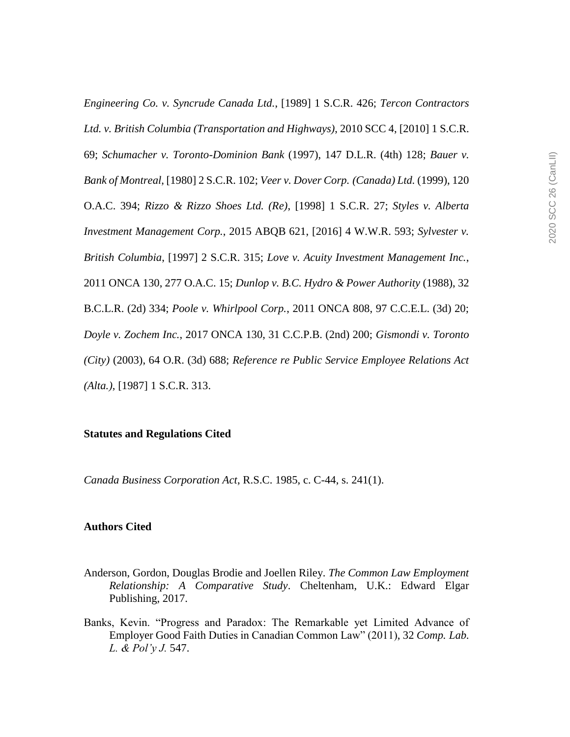*Engineering Co. v. Syncrude Canada Ltd.*, [1989] 1 S.C.R. 426; *Tercon Contractors Ltd. v. British Columbia (Transportation and Highways)*, 2010 SCC 4, [2010] 1 S.C.R. 69; *Schumacher v. Toronto-Dominion Bank* (1997), 147 D.L.R. (4th) 128; *Bauer v. Bank of Montreal*, [1980] 2 S.C.R. 102; *Veer v. Dover Corp. (Canada) Ltd.* (1999), 120 O.A.C. 394; *Rizzo & Rizzo Shoes Ltd. (Re)*, [1998] 1 S.C.R. 27; *Styles v. Alberta Investment Management Corp.*, 2015 ABQB 621, [2016] 4 W.W.R. 593; *Sylvester v. British Columbia*, [1997] 2 S.C.R. 315; *Love v. Acuity Investment Management Inc.*, 2011 ONCA 130, 277 O.A.C. 15; *Dunlop v. B.C. Hydro & Power Authority* (1988), 32 B.C.L.R. (2d) 334; *Poole v. Whirlpool Corp.*, 2011 ONCA 808, 97 C.C.E.L. (3d) 20; *Doyle v. Zochem Inc.*, 2017 ONCA 130, 31 C.C.P.B. (2nd) 200; *Gismondi v. Toronto (City)* (2003), 64 O.R. (3d) 688; *Reference re Public Service Employee Relations Act (Alta.)*, [1987] 1 S.C.R. 313.

#### **Statutes and Regulations Cited**

*Canada Business Corporation Act*, R.S.C. 1985, c. C-44, s. 241(1).

#### **Authors Cited**

- Anderson, Gordon, Douglas Brodie and Joellen Riley. *The Common Law Employment Relationship: A Comparative Study*. Cheltenham, U.K.: Edward Elgar Publishing, 2017.
- Banks, Kevin. "Progress and Paradox: The Remarkable yet Limited Advance of Employer Good Faith Duties in Canadian Common Law" (2011), 32 *Comp. Lab. L. & Pol'y J.* 547.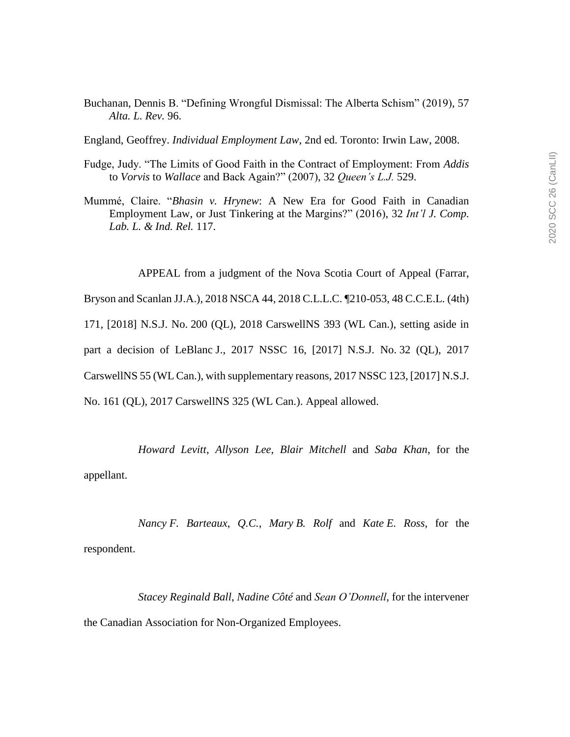- Buchanan, Dennis B. "Defining Wrongful Dismissal: The Alberta Schism" (2019), 57 *Alta. L. Rev.* 96.
- England, Geoffrey. *Individual Employment Law*, 2nd ed. Toronto: Irwin Law, 2008.
- Fudge, Judy. "The Limits of Good Faith in the Contract of Employment: From *Addis* to *Vorvis* to *Wallace* and Back Again?" (2007), 32 *Queen's L.J.* 529.
- Mummé, Claire. "*Bhasin v. Hrynew*: A New Era for Good Faith in Canadian Employment Law, or Just Tinkering at the Margins?" (2016), 32 *Int'l J. Comp. Lab. L. & Ind. Rel.* 117.

APPEAL from a judgment of the Nova Scotia Court of Appeal (Farrar,

Bryson and Scanlan JJ.A.), 2018 NSCA 44, 2018 C.L.L.C. ¶210-053, 48 C.C.E.L. (4th)

171, [2018] N.S.J. No. 200 (QL), 2018 CarswellNS 393 (WL Can.), setting aside in

part a decision of LeBlanc J., 2017 NSSC 16, [2017] N.S.J. No. 32 (QL), 2017

CarswellNS 55 (WL Can.), with supplementary reasons, 2017 NSSC 123, [2017] N.S.J.

No. 161 (QL), 2017 CarswellNS 325 (WL Can.). Appeal allowed.

*Howard Levitt*, *Allyson Lee*, *Blair Mitchell* and *Saba Khan*, for the

appellant.

*Nancy F. Barteaux*, *Q.C.*, *Mary B. Rolf* and *Kate E. Ross*, for the respondent.

*Stacey Reginald Ball*, *Nadine Côté* and *Sean O'Donnell*, for the intervener the Canadian Association for Non-Organized Employees.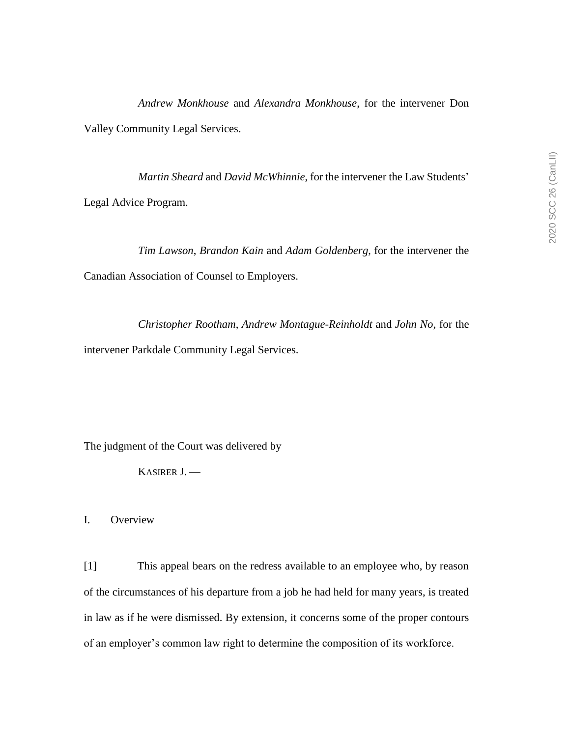*Andrew Monkhouse* and *Alexandra Monkhouse*, for the intervener Don Valley Community Legal Services.

*Martin Sheard* and *David McWhinnie*, for the intervener the Law Students' Legal Advice Program.

*Tim Lawson*, *Brandon Kain* and *Adam Goldenberg*, for the intervener the Canadian Association of Counsel to Employers.

*Christopher Rootham*, *Andrew Montague-Reinholdt* and *John No*, for the intervener Parkdale Community Legal Services.

The judgment of the Court was delivered by

KASIRER J. —

I. Overview

[1] This appeal bears on the redress available to an employee who, by reason of the circumstances of his departure from a job he had held for many years, is treated in law as if he were dismissed. By extension, it concerns some of the proper contours of an employer's common law right to determine the composition of its workforce.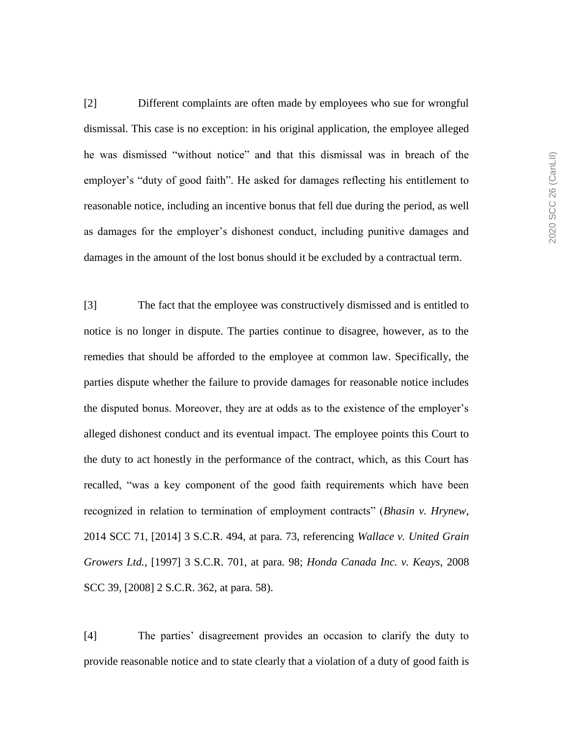[2] Different complaints are often made by employees who sue for wrongful dismissal. This case is no exception: in his original application, the employee alleged he was dismissed "without notice" and that this dismissal was in breach of the employer's "duty of good faith". He asked for damages reflecting his entitlement to reasonable notice, including an incentive bonus that fell due during the period, as well as damages for the employer's dishonest conduct, including punitive damages and damages in the amount of the lost bonus should it be excluded by a contractual term.

[3] The fact that the employee was constructively dismissed and is entitled to notice is no longer in dispute. The parties continue to disagree, however, as to the remedies that should be afforded to the employee at common law. Specifically, the parties dispute whether the failure to provide damages for reasonable notice includes the disputed bonus. Moreover, they are at odds as to the existence of the employer's alleged dishonest conduct and its eventual impact. The employee points this Court to the duty to act honestly in the performance of the contract, which, as this Court has recalled, "was a key component of the good faith requirements which have been recognized in relation to termination of employment contracts" (*Bhasin v. Hrynew*, 2014 SCC 71, [2014] 3 S.C.R. 494, at para. 73, referencing *Wallace v. United Grain Growers Ltd.*, [1997] 3 S.C.R. 701, at para. 98; *Honda Canada Inc. v. Keays*, 2008 SCC 39, [2008] 2 S.C.R. 362, at para. 58).

[4] The parties' disagreement provides an occasion to clarify the duty to provide reasonable notice and to state clearly that a violation of a duty of good faith is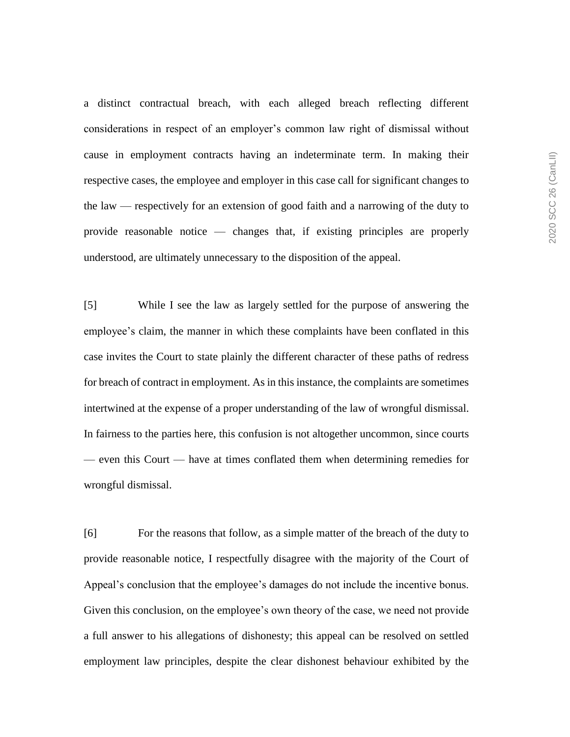a distinct contractual breach, with each alleged breach reflecting different considerations in respect of an employer's common law right of dismissal without cause in employment contracts having an indeterminate term. In making their respective cases, the employee and employer in this case call for significant changes to the law — respectively for an extension of good faith and a narrowing of the duty to provide reasonable notice — changes that, if existing principles are properly understood, are ultimately unnecessary to the disposition of the appeal.

[5] While I see the law as largely settled for the purpose of answering the employee's claim, the manner in which these complaints have been conflated in this case invites the Court to state plainly the different character of these paths of redress for breach of contract in employment. As in this instance, the complaints are sometimes intertwined at the expense of a proper understanding of the law of wrongful dismissal. In fairness to the parties here, this confusion is not altogether uncommon, since courts — even this Court — have at times conflated them when determining remedies for wrongful dismissal.

[6] For the reasons that follow, as a simple matter of the breach of the duty to provide reasonable notice, I respectfully disagree with the majority of the Court of Appeal's conclusion that the employee's damages do not include the incentive bonus. Given this conclusion, on the employee's own theory of the case, we need not provide a full answer to his allegations of dishonesty; this appeal can be resolved on settled employment law principles, despite the clear dishonest behaviour exhibited by the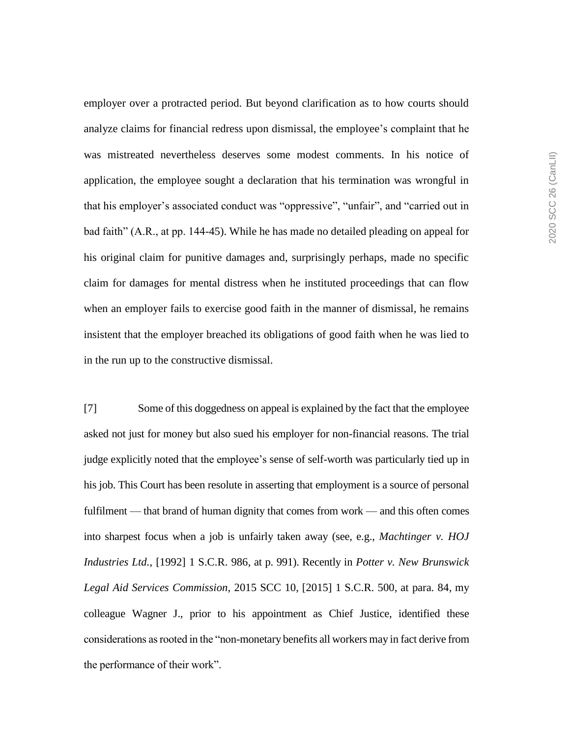employer over a protracted period. But beyond clarification as to how courts should analyze claims for financial redress upon dismissal, the employee's complaint that he was mistreated nevertheless deserves some modest comments. In his notice of application, the employee sought a declaration that his termination was wrongful in that his employer's associated conduct was "oppressive", "unfair", and "carried out in bad faith" (A.R., at pp. 144-45). While he has made no detailed pleading on appeal for his original claim for punitive damages and, surprisingly perhaps, made no specific claim for damages for mental distress when he instituted proceedings that can flow when an employer fails to exercise good faith in the manner of dismissal, he remains insistent that the employer breached its obligations of good faith when he was lied to in the run up to the constructive dismissal.

[7] Some of this doggedness on appeal is explained by the fact that the employee asked not just for money but also sued his employer for non-financial reasons. The trial judge explicitly noted that the employee's sense of self-worth was particularly tied up in his job. This Court has been resolute in asserting that employment is a source of personal fulfilment — that brand of human dignity that comes from work — and this often comes into sharpest focus when a job is unfairly taken away (see, e.g., *Machtinger v. HOJ Industries Ltd.*, [1992] 1 S.C.R. 986, at p. 991). Recently in *Potter v. New Brunswick Legal Aid Services Commission*, 2015 SCC 10, [2015] 1 S.C.R. 500, at para. 84, my colleague Wagner J., prior to his appointment as Chief Justice, identified these considerations as rooted in the "non-monetary benefits all workers may in fact derive from the performance of their work".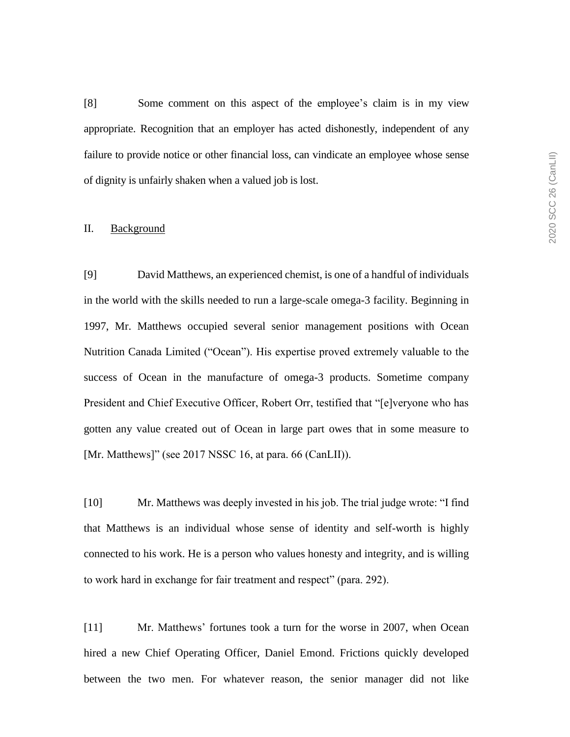[8] Some comment on this aspect of the employee's claim is in my view appropriate. Recognition that an employer has acted dishonestly, independent of any failure to provide notice or other financial loss, can vindicate an employee whose sense of dignity is unfairly shaken when a valued job is lost.

### II. Background

[9] David Matthews, an experienced chemist, is one of a handful of individuals in the world with the skills needed to run a large-scale omega-3 facility. Beginning in 1997, Mr. Matthews occupied several senior management positions with Ocean Nutrition Canada Limited ("Ocean"). His expertise proved extremely valuable to the success of Ocean in the manufacture of omega-3 products. Sometime company President and Chief Executive Officer, Robert Orr, testified that "[e]veryone who has gotten any value created out of Ocean in large part owes that in some measure to [Mr. Matthews]" (see 2017 NSSC 16, at para. 66 (CanLII)).

[10] Mr. Matthews was deeply invested in his job. The trial judge wrote: "I find that Matthews is an individual whose sense of identity and self-worth is highly connected to his work. He is a person who values honesty and integrity, and is willing to work hard in exchange for fair treatment and respect" (para. 292).

[11] Mr. Matthews' fortunes took a turn for the worse in 2007, when Ocean hired a new Chief Operating Officer, Daniel Emond. Frictions quickly developed between the two men. For whatever reason, the senior manager did not like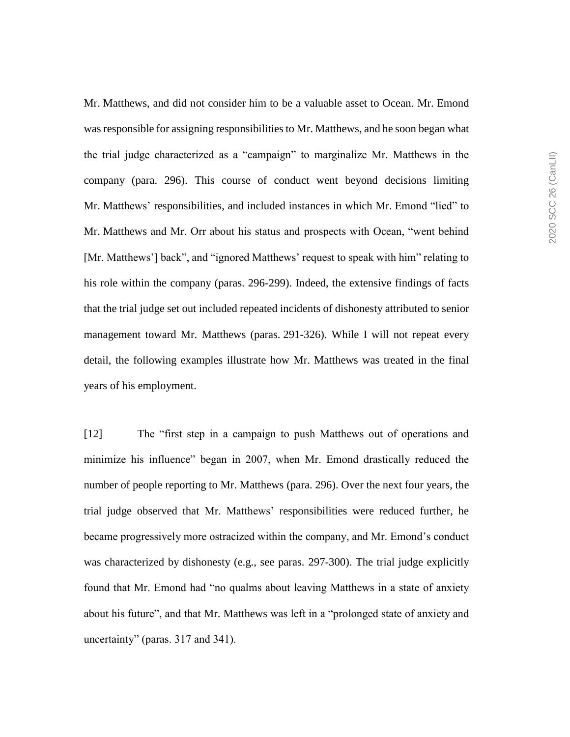Mr. Matthews, and did not consider him to be a valuable asset to Ocean. Mr. Emond was responsible for assigning responsibilities to Mr. Matthews, and he soon began what the trial judge characterized as a "campaign" to marginalize Mr. Matthews in the company (para. 296). This course of conduct went beyond decisions limiting Mr. Matthews' responsibilities, and included instances in which Mr. Emond "lied" to Mr. Matthews and Mr. Orr about his status and prospects with Ocean, "went behind [Mr. Matthews'] back", and "ignored Matthews' request to speak with him" relating to his role within the company (paras. 296-299). Indeed, the extensive findings of facts that the trial judge set out included repeated incidents of dishonesty attributed to senior management toward Mr. Matthews (paras. 291-326). While I will not repeat every detail, the following examples illustrate how Mr. Matthews was treated in the final years of his employment.

[12] The "first step in a campaign to push Matthews out of operations and minimize his influence" began in 2007, when Mr. Emond drastically reduced the number of people reporting to Mr. Matthews (para. 296). Over the next four years, the trial judge observed that Mr. Matthews' responsibilities were reduced further, he became progressively more ostracized within the company, and Mr. Emond's conduct was characterized by dishonesty (e.g., see paras. 297-300). The trial judge explicitly found that Mr. Emond had "no qualms about leaving Matthews in a state of anxiety about his future", and that Mr. Matthews was left in a "prolonged state of anxiety and uncertainty" (paras. 317 and 341).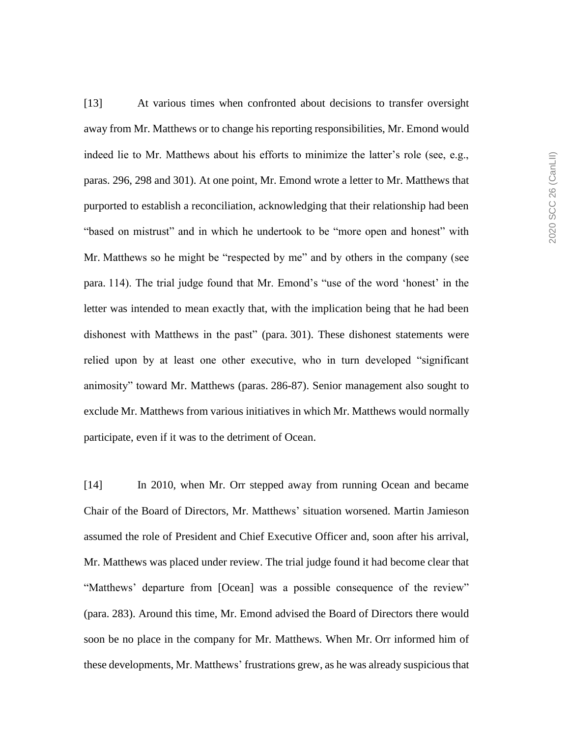[13] At various times when confronted about decisions to transfer oversight away from Mr. Matthews or to change his reporting responsibilities, Mr. Emond would indeed lie to Mr. Matthews about his efforts to minimize the latter's role (see, e.g., paras. 296, 298 and 301). At one point, Mr. Emond wrote a letter to Mr. Matthews that purported to establish a reconciliation, acknowledging that their relationship had been "based on mistrust" and in which he undertook to be "more open and honest" with Mr. Matthews so he might be "respected by me" and by others in the company (see para. 114). The trial judge found that Mr. Emond's "use of the word 'honest' in the letter was intended to mean exactly that, with the implication being that he had been dishonest with Matthews in the past" (para. 301). These dishonest statements were relied upon by at least one other executive, who in turn developed "significant animosity" toward Mr. Matthews (paras. 286-87). Senior management also sought to exclude Mr. Matthews from various initiatives in which Mr. Matthews would normally participate, even if it was to the detriment of Ocean.

[14] In 2010, when Mr. Orr stepped away from running Ocean and became Chair of the Board of Directors, Mr. Matthews' situation worsened. Martin Jamieson assumed the role of President and Chief Executive Officer and, soon after his arrival, Mr. Matthews was placed under review. The trial judge found it had become clear that "Matthews' departure from [Ocean] was a possible consequence of the review" (para. 283). Around this time, Mr. Emond advised the Board of Directors there would soon be no place in the company for Mr. Matthews. When Mr. Orr informed him of these developments, Mr. Matthews' frustrations grew, as he was already suspicious that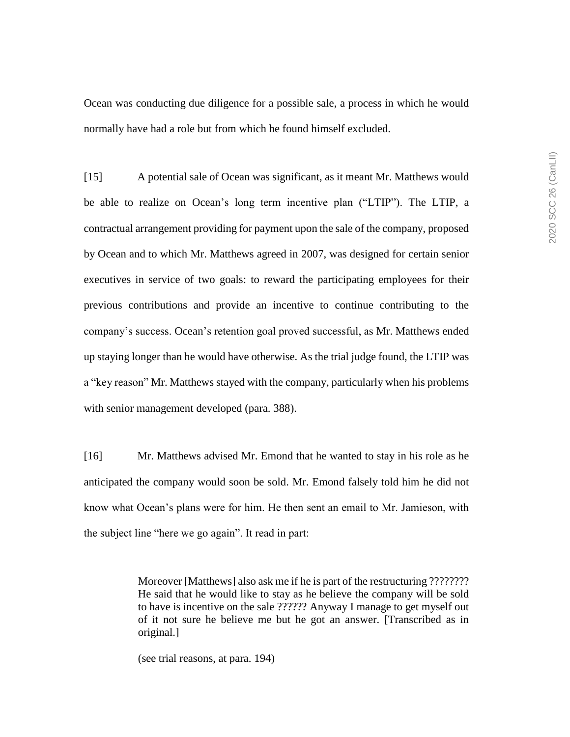Ocean was conducting due diligence for a possible sale, a process in which he would normally have had a role but from which he found himself excluded.

[15] A potential sale of Ocean was significant, as it meant Mr. Matthews would be able to realize on Ocean's long term incentive plan ("LTIP"). The LTIP, a contractual arrangement providing for payment upon the sale of the company, proposed by Ocean and to which Mr. Matthews agreed in 2007, was designed for certain senior executives in service of two goals: to reward the participating employees for their previous contributions and provide an incentive to continue contributing to the company's success. Ocean's retention goal proved successful, as Mr. Matthews ended up staying longer than he would have otherwise. As the trial judge found, the LTIP was a "key reason" Mr. Matthews stayed with the company, particularly when his problems with senior management developed (para. 388).

[16] Mr. Matthews advised Mr. Emond that he wanted to stay in his role as he anticipated the company would soon be sold. Mr. Emond falsely told him he did not know what Ocean's plans were for him. He then sent an email to Mr. Jamieson, with the subject line "here we go again". It read in part:

> Moreover [Matthews] also ask me if he is part of the restructuring ???????? He said that he would like to stay as he believe the company will be sold to have is incentive on the sale ?????? Anyway I manage to get myself out of it not sure he believe me but he got an answer. [Transcribed as in original.]

(see trial reasons, at para. 194)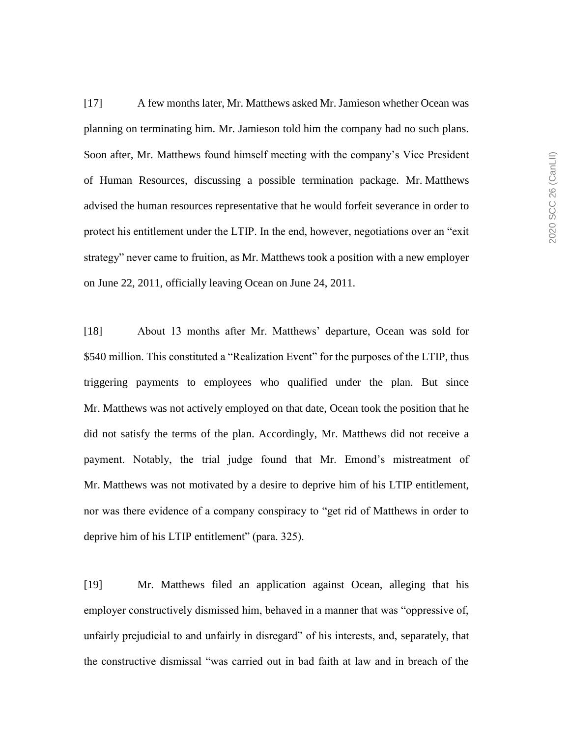[17] A few months later, Mr. Matthews asked Mr. Jamieson whether Ocean was planning on terminating him. Mr. Jamieson told him the company had no such plans. Soon after, Mr. Matthews found himself meeting with the company's Vice President of Human Resources, discussing a possible termination package. Mr. Matthews advised the human resources representative that he would forfeit severance in order to protect his entitlement under the LTIP. In the end, however, negotiations over an "exit strategy" never came to fruition, as Mr. Matthews took a position with a new employer on June 22, 2011, officially leaving Ocean on June 24, 2011.

[18] About 13 months after Mr. Matthews' departure, Ocean was sold for \$540 million. This constituted a "Realization Event" for the purposes of the LTIP, thus triggering payments to employees who qualified under the plan. But since Mr. Matthews was not actively employed on that date, Ocean took the position that he did not satisfy the terms of the plan. Accordingly, Mr. Matthews did not receive a payment. Notably, the trial judge found that Mr. Emond's mistreatment of Mr. Matthews was not motivated by a desire to deprive him of his LTIP entitlement, nor was there evidence of a company conspiracy to "get rid of Matthews in order to deprive him of his LTIP entitlement" (para. 325).

[19] Mr. Matthews filed an application against Ocean, alleging that his employer constructively dismissed him, behaved in a manner that was "oppressive of, unfairly prejudicial to and unfairly in disregard" of his interests, and, separately, that the constructive dismissal "was carried out in bad faith at law and in breach of the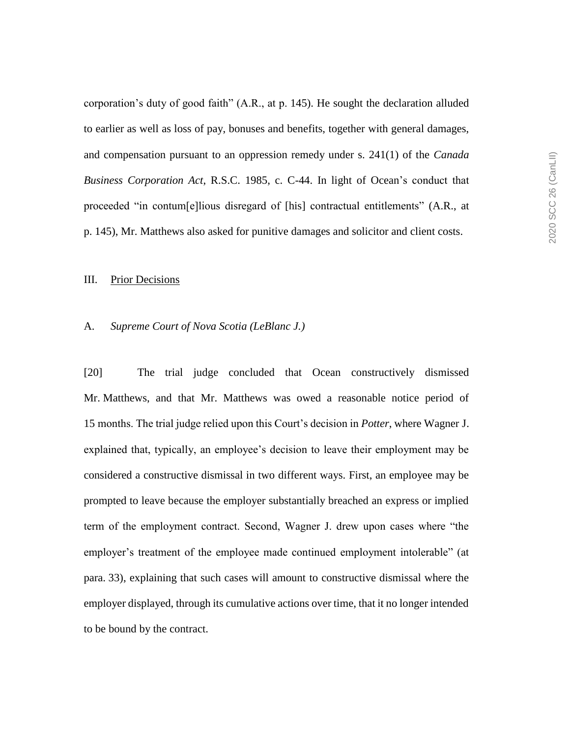corporation's duty of good faith" (A.R., at p. 145). He sought the declaration alluded to earlier as well as loss of pay, bonuses and benefits, together with general damages, and compensation pursuant to an oppression remedy under s. 241(1) of the *Canada Business Corporation Act*, R.S.C. 1985, c. C-44. In light of Ocean's conduct that proceeded "in contum[e]lious disregard of [his] contractual entitlements" (A.R., at p. 145), Mr. Matthews also asked for punitive damages and solicitor and client costs.

#### III. Prior Decisions

#### A. *Supreme Court of Nova Scotia (LeBlanc J.)*

[20] The trial judge concluded that Ocean constructively dismissed Mr. Matthews, and that Mr. Matthews was owed a reasonable notice period of 15 months. The trial judge relied upon this Court's decision in *Potter*, where Wagner J. explained that, typically, an employee's decision to leave their employment may be considered a constructive dismissal in two different ways. First, an employee may be prompted to leave because the employer substantially breached an express or implied term of the employment contract. Second, Wagner J. drew upon cases where "the employer's treatment of the employee made continued employment intolerable" (at para. 33), explaining that such cases will amount to constructive dismissal where the employer displayed, through its cumulative actions over time, that it no longer intended to be bound by the contract.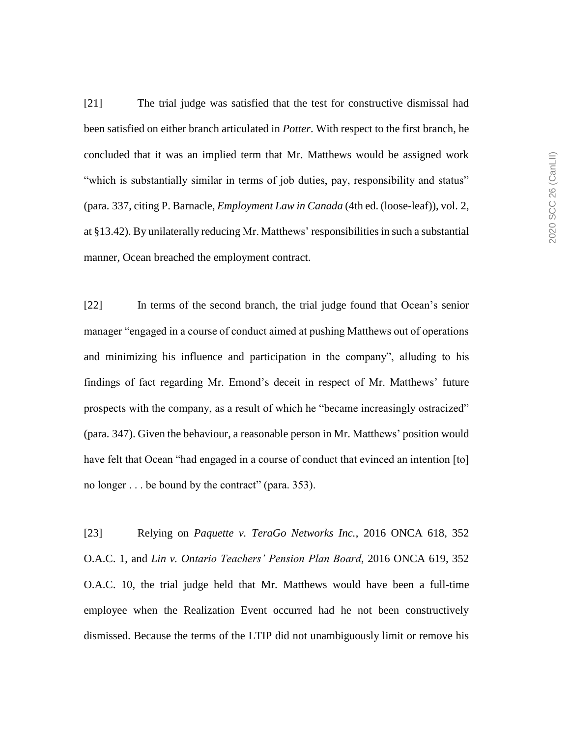[21] The trial judge was satisfied that the test for constructive dismissal had been satisfied on either branch articulated in *Potter*. With respect to the first branch, he concluded that it was an implied term that Mr. Matthews would be assigned work "which is substantially similar in terms of job duties, pay, responsibility and status" (para. 337, citing P. Barnacle, *Employment Law in Canada* (4th ed. (loose-leaf)), vol. 2, at §13.42). By unilaterally reducing Mr. Matthews' responsibilities in such a substantial manner, Ocean breached the employment contract.

[22] In terms of the second branch, the trial judge found that Ocean's senior manager "engaged in a course of conduct aimed at pushing Matthews out of operations and minimizing his influence and participation in the company", alluding to his findings of fact regarding Mr. Emond's deceit in respect of Mr. Matthews' future prospects with the company, as a result of which he "became increasingly ostracized" (para. 347). Given the behaviour, a reasonable person in Mr. Matthews' position would have felt that Ocean "had engaged in a course of conduct that evinced an intention [to] no longer . . . be bound by the contract" (para. 353).

[23] Relying on *Paquette v. TeraGo Networks Inc.*, 2016 ONCA 618, 352 O.A.C. 1, and *Lin v. Ontario Teachers' Pension Plan Board*, 2016 ONCA 619, 352 O.A.C. 10, the trial judge held that Mr. Matthews would have been a full-time employee when the Realization Event occurred had he not been constructively dismissed. Because the terms of the LTIP did not unambiguously limit or remove his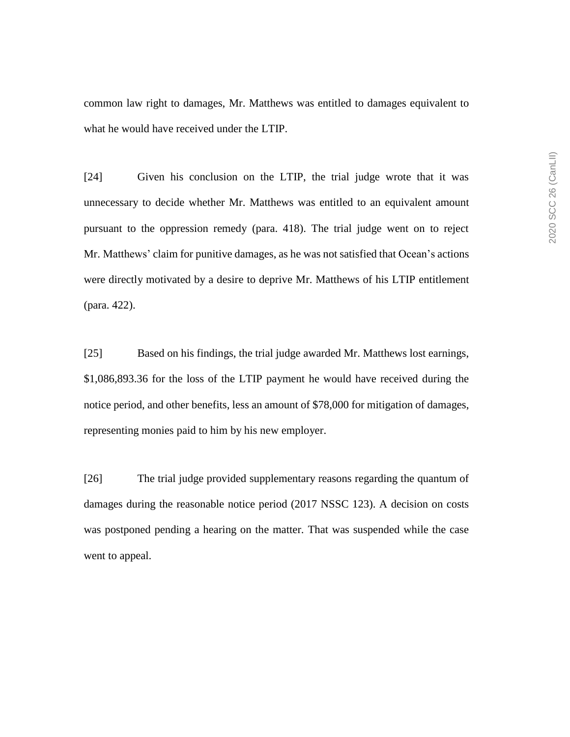common law right to damages, Mr. Matthews was entitled to damages equivalent to what he would have received under the LTIP.

[24] Given his conclusion on the LTIP, the trial judge wrote that it was unnecessary to decide whether Mr. Matthews was entitled to an equivalent amount pursuant to the oppression remedy (para. 418). The trial judge went on to reject Mr. Matthews' claim for punitive damages, as he was not satisfied that Ocean's actions were directly motivated by a desire to deprive Mr. Matthews of his LTIP entitlement (para. 422).

[25] Based on his findings, the trial judge awarded Mr. Matthews lost earnings, \$1,086,893.36 for the loss of the LTIP payment he would have received during the notice period, and other benefits, less an amount of \$78,000 for mitigation of damages, representing monies paid to him by his new employer.

[26] The trial judge provided supplementary reasons regarding the quantum of damages during the reasonable notice period (2017 NSSC 123). A decision on costs was postponed pending a hearing on the matter. That was suspended while the case went to appeal.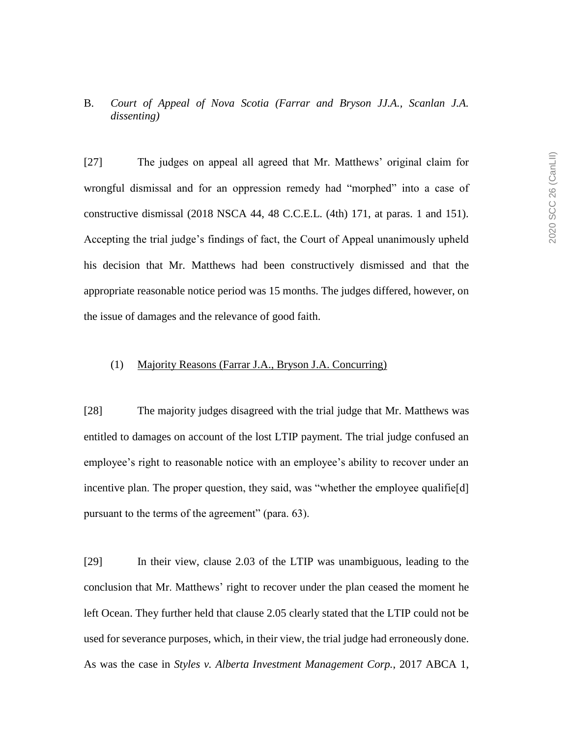B. *Court of Appeal of Nova Scotia (Farrar and Bryson JJ.A., Scanlan J.A. dissenting)*

[27] The judges on appeal all agreed that Mr. Matthews' original claim for wrongful dismissal and for an oppression remedy had "morphed" into a case of constructive dismissal (2018 NSCA 44, 48 C.C.E.L. (4th) 171, at paras. 1 and 151). Accepting the trial judge's findings of fact, the Court of Appeal unanimously upheld his decision that Mr. Matthews had been constructively dismissed and that the appropriate reasonable notice period was 15 months. The judges differed, however, on the issue of damages and the relevance of good faith.

## (1) Majority Reasons (Farrar J.A., Bryson J.A. Concurring)

[28] The majority judges disagreed with the trial judge that Mr. Matthews was entitled to damages on account of the lost LTIP payment. The trial judge confused an employee's right to reasonable notice with an employee's ability to recover under an incentive plan. The proper question, they said, was "whether the employee qualifie[d] pursuant to the terms of the agreement" (para. 63).

[29] In their view, clause 2.03 of the LTIP was unambiguous, leading to the conclusion that Mr. Matthews' right to recover under the plan ceased the moment he left Ocean. They further held that clause 2.05 clearly stated that the LTIP could not be used for severance purposes, which, in their view, the trial judge had erroneously done. As was the case in *Styles v. Alberta Investment Management Corp.*, 2017 ABCA 1,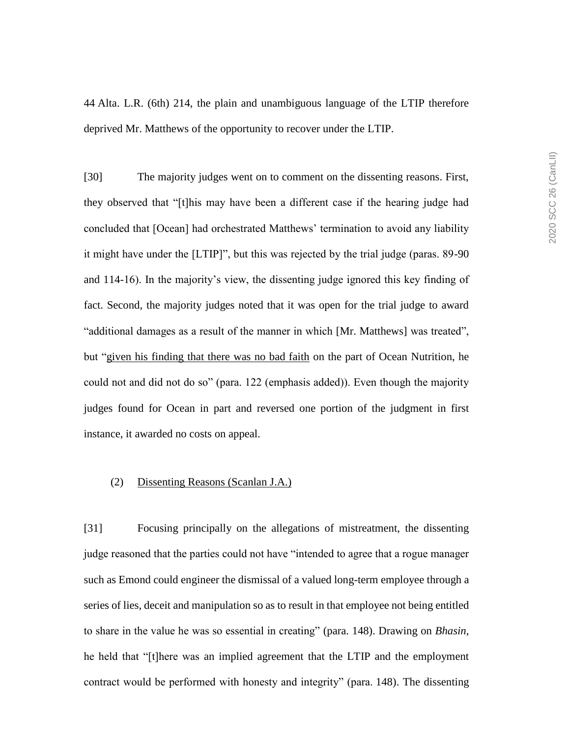44 Alta. L.R. (6th) 214, the plain and unambiguous language of the LTIP therefore deprived Mr. Matthews of the opportunity to recover under the LTIP.

[30] The majority judges went on to comment on the dissenting reasons. First, they observed that "[t]his may have been a different case if the hearing judge had concluded that [Ocean] had orchestrated Matthews' termination to avoid any liability it might have under the [LTIP]", but this was rejected by the trial judge (paras. 89-90 and 114-16). In the majority's view, the dissenting judge ignored this key finding of fact. Second, the majority judges noted that it was open for the trial judge to award "additional damages as a result of the manner in which [Mr. Matthews] was treated", but "given his finding that there was no bad faith on the part of Ocean Nutrition, he could not and did not do so" (para. 122 (emphasis added)). Even though the majority judges found for Ocean in part and reversed one portion of the judgment in first instance, it awarded no costs on appeal.

## (2) Dissenting Reasons (Scanlan J.A.)

[31] Focusing principally on the allegations of mistreatment, the dissenting judge reasoned that the parties could not have "intended to agree that a rogue manager such as Emond could engineer the dismissal of a valued long-term employee through a series of lies, deceit and manipulation so as to result in that employee not being entitled to share in the value he was so essential in creating" (para. 148). Drawing on *Bhasin*, he held that "[t]here was an implied agreement that the LTIP and the employment contract would be performed with honesty and integrity" (para. 148). The dissenting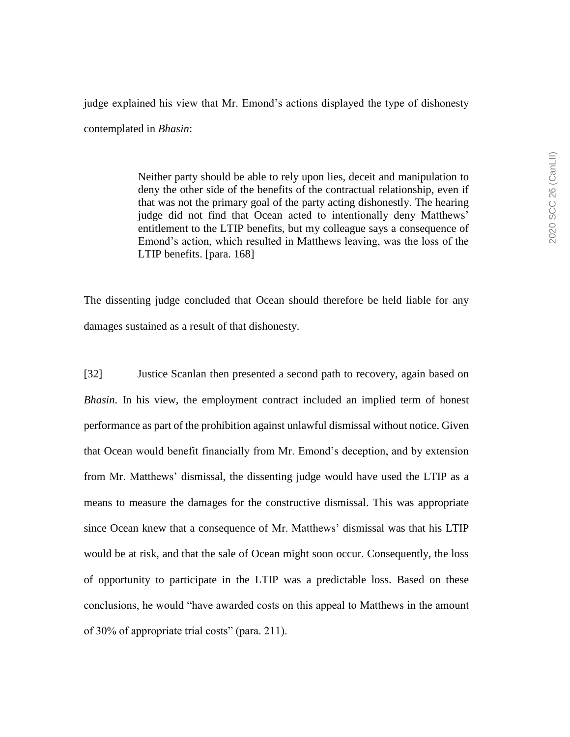judge explained his view that Mr. Emond's actions displayed the type of dishonesty contemplated in *Bhasin*:

> Neither party should be able to rely upon lies, deceit and manipulation to deny the other side of the benefits of the contractual relationship, even if that was not the primary goal of the party acting dishonestly. The hearing judge did not find that Ocean acted to intentionally deny Matthews' entitlement to the LTIP benefits, but my colleague says a consequence of Emond's action, which resulted in Matthews leaving, was the loss of the LTIP benefits. [para. 168]

The dissenting judge concluded that Ocean should therefore be held liable for any damages sustained as a result of that dishonesty.

[32] Justice Scanlan then presented a second path to recovery, again based on *Bhasin*. In his view, the employment contract included an implied term of honest performance as part of the prohibition against unlawful dismissal without notice. Given that Ocean would benefit financially from Mr. Emond's deception, and by extension from Mr. Matthews' dismissal, the dissenting judge would have used the LTIP as a means to measure the damages for the constructive dismissal. This was appropriate since Ocean knew that a consequence of Mr. Matthews' dismissal was that his LTIP would be at risk, and that the sale of Ocean might soon occur. Consequently, the loss of opportunity to participate in the LTIP was a predictable loss. Based on these conclusions, he would "have awarded costs on this appeal to Matthews in the amount of 30% of appropriate trial costs" (para. 211).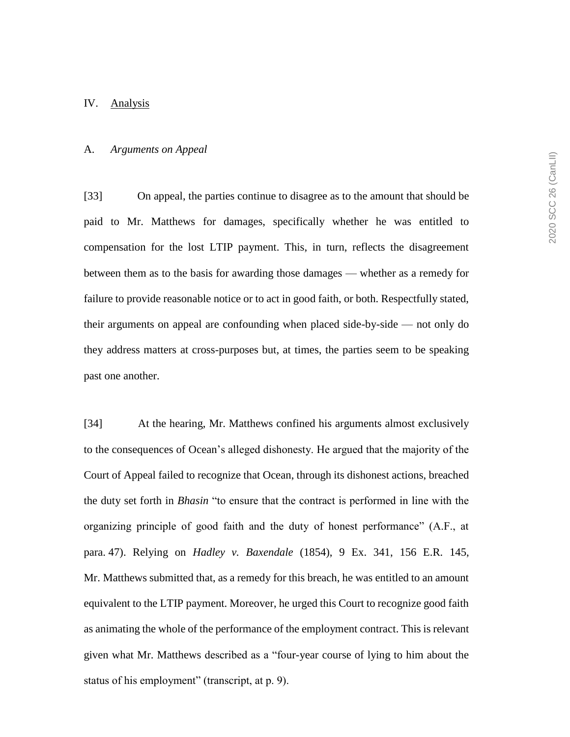#### IV. Analysis

### A. *Arguments on Appeal*

[33] On appeal, the parties continue to disagree as to the amount that should be paid to Mr. Matthews for damages, specifically whether he was entitled to compensation for the lost LTIP payment. This, in turn, reflects the disagreement between them as to the basis for awarding those damages — whether as a remedy for failure to provide reasonable notice or to act in good faith, or both. Respectfully stated, their arguments on appeal are confounding when placed side-by-side — not only do they address matters at cross-purposes but, at times, the parties seem to be speaking past one another.

[34] At the hearing, Mr. Matthews confined his arguments almost exclusively to the consequences of Ocean's alleged dishonesty. He argued that the majority of the Court of Appeal failed to recognize that Ocean, through its dishonest actions, breached the duty set forth in *Bhasin* "to ensure that the contract is performed in line with the organizing principle of good faith and the duty of honest performance" (A.F., at para. 47). Relying on *Hadley v. Baxendale* (1854), 9 Ex. 341, 156 E.R. 145, Mr. Matthews submitted that, as a remedy for this breach, he was entitled to an amount equivalent to the LTIP payment. Moreover, he urged this Court to recognize good faith as animating the whole of the performance of the employment contract. This is relevant given what Mr. Matthews described as a "four-year course of lying to him about the status of his employment" (transcript, at p. 9).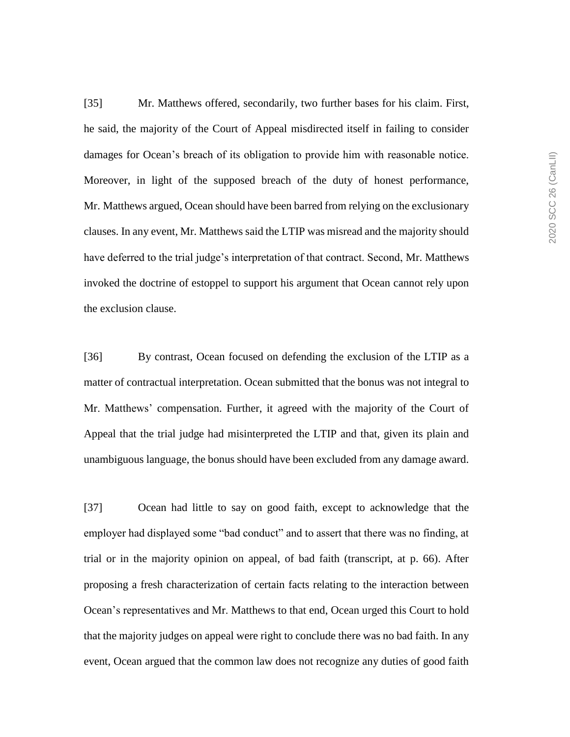[35] Mr. Matthews offered, secondarily, two further bases for his claim. First, he said, the majority of the Court of Appeal misdirected itself in failing to consider damages for Ocean's breach of its obligation to provide him with reasonable notice. Moreover, in light of the supposed breach of the duty of honest performance, Mr. Matthews argued, Ocean should have been barred from relying on the exclusionary clauses. In any event, Mr. Matthews said the LTIP was misread and the majority should have deferred to the trial judge's interpretation of that contract. Second, Mr. Matthews invoked the doctrine of estoppel to support his argument that Ocean cannot rely upon the exclusion clause.

[36] By contrast, Ocean focused on defending the exclusion of the LTIP as a matter of contractual interpretation. Ocean submitted that the bonus was not integral to Mr. Matthews' compensation. Further, it agreed with the majority of the Court of Appeal that the trial judge had misinterpreted the LTIP and that, given its plain and unambiguous language, the bonus should have been excluded from any damage award.

[37] Ocean had little to say on good faith, except to acknowledge that the employer had displayed some "bad conduct" and to assert that there was no finding, at trial or in the majority opinion on appeal, of bad faith (transcript, at p. 66). After proposing a fresh characterization of certain facts relating to the interaction between Ocean's representatives and Mr. Matthews to that end, Ocean urged this Court to hold that the majority judges on appeal were right to conclude there was no bad faith. In any event, Ocean argued that the common law does not recognize any duties of good faith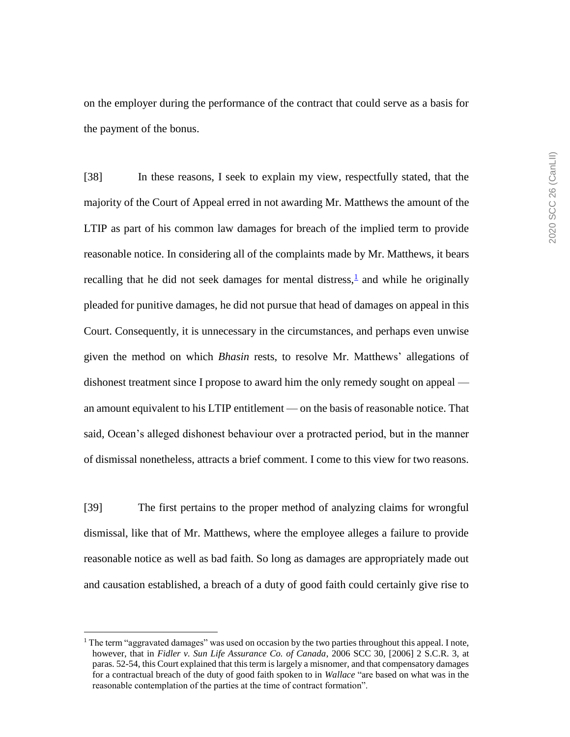on the employer during the performance of the contract that could serve as a basis for the payment of the bonus.

[38] In these reasons, I seek to explain my view, respectfully stated, that the majority of the Court of Appeal erred in not awarding Mr. Matthews the amount of the LTIP as part of his common law damages for breach of the implied term to provide reasonable notice. In considering all of the complaints made by Mr. Matthews, it bears recalling that he did not seek damages for mental distress, $\frac{1}{2}$  and while he originally pleaded for punitive damages, he did not pursue that head of damages on appeal in this Court. Consequently, it is unnecessary in the circumstances, and perhaps even unwise given the method on which *Bhasin* rests, to resolve Mr. Matthews' allegations of dishonest treatment since I propose to award him the only remedy sought on appeal an amount equivalent to his LTIP entitlement — on the basis of reasonable notice. That said, Ocean's alleged dishonest behaviour over a protracted period, but in the manner of dismissal nonetheless, attracts a brief comment. I come to this view for two reasons.

[39] The first pertains to the proper method of analyzing claims for wrongful dismissal, like that of Mr. Matthews, where the employee alleges a failure to provide reasonable notice as well as bad faith. So long as damages are appropriately made out and causation established, a breach of a duty of good faith could certainly give rise to

 $\overline{a}$ 

<sup>&</sup>lt;sup>1</sup> The term "aggravated damages" was used on occasion by the two parties throughout this appeal. I note, however, that in *Fidler v. Sun Life Assurance Co. of Canada*, 2006 SCC 30, [2006] 2 S.C.R. 3, at paras. 52-54, this Court explained that this term is largely a misnomer, and that compensatory damages for a contractual breach of the duty of good faith spoken to in *Wallace* "are based on what was in the reasonable contemplation of the parties at the time of contract formation".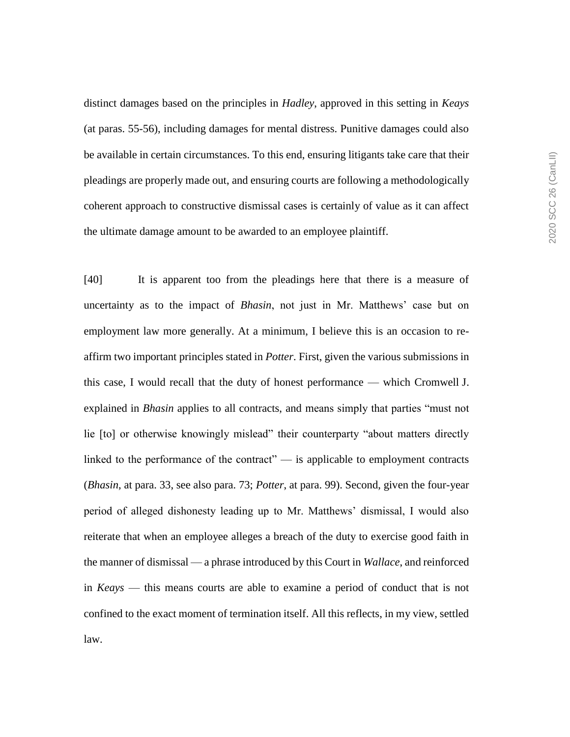distinct damages based on the principles in *Hadley*, approved in this setting in *Keays* (at paras. 55-56), including damages for mental distress. Punitive damages could also be available in certain circumstances. To this end, ensuring litigants take care that their pleadings are properly made out, and ensuring courts are following a methodologically coherent approach to constructive dismissal cases is certainly of value as it can affect the ultimate damage amount to be awarded to an employee plaintiff.

[40] It is apparent too from the pleadings here that there is a measure of uncertainty as to the impact of *Bhasin*, not just in Mr. Matthews' case but on employment law more generally. At a minimum, I believe this is an occasion to reaffirm two important principles stated in *Potter*. First, given the various submissions in this case, I would recall that the duty of honest performance — which Cromwell J. explained in *Bhasin* applies to all contracts, and means simply that parties "must not lie [to] or otherwise knowingly mislead" their counterparty "about matters directly linked to the performance of the contract" — is applicable to employment contracts (*Bhasin*, at para. 33, see also para. 73; *Potter*, at para. 99). Second, given the four-year period of alleged dishonesty leading up to Mr. Matthews' dismissal, I would also reiterate that when an employee alleges a breach of the duty to exercise good faith in the manner of dismissal — a phrase introduced by this Court in *Wallace*, and reinforced in *Keays* — this means courts are able to examine a period of conduct that is not confined to the exact moment of termination itself. All this reflects, in my view, settled law.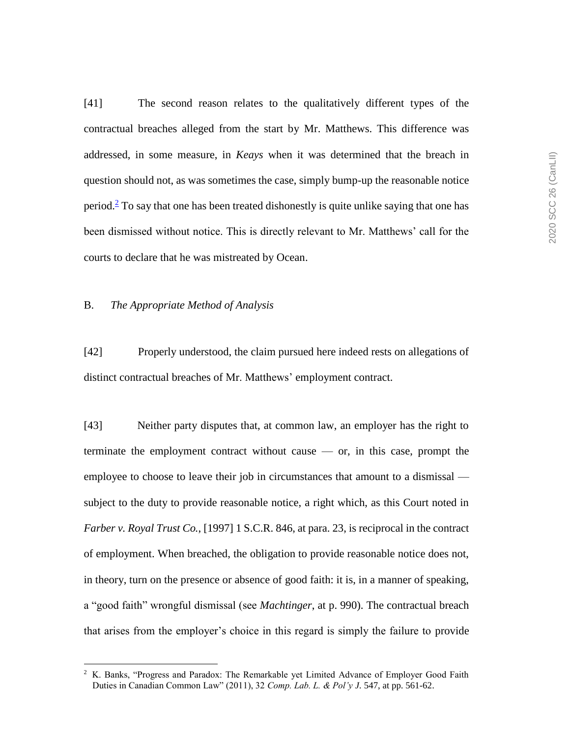[41] The second reason relates to the qualitatively different types of the contractual breaches alleged from the start by Mr. Matthews. This difference was addressed, in some measure, in *Keays* when it was determined that the breach in question should not, as was sometimes the case, simply bump-up the reasonable notice period.<sup>2</sup> To say that one has been treated dishonestly is quite unlike saying that one has been dismissed without notice. This is directly relevant to Mr. Matthews' call for the courts to declare that he was mistreated by Ocean.

### B. *The Appropriate Method of Analysis*

 $\overline{a}$ 

[42] Properly understood, the claim pursued here indeed rests on allegations of distinct contractual breaches of Mr. Matthews' employment contract.

[43] Neither party disputes that, at common law, an employer has the right to terminate the employment contract without cause — or, in this case, prompt the employee to choose to leave their job in circumstances that amount to a dismissal subject to the duty to provide reasonable notice, a right which, as this Court noted in *Farber v. Royal Trust Co.*, [1997] 1 S.C.R. 846, at para. 23, is reciprocal in the contract of employment. When breached, the obligation to provide reasonable notice does not, in theory, turn on the presence or absence of good faith: it is, in a manner of speaking, a "good faith" wrongful dismissal (see *Machtinger*, at p. 990). The contractual breach that arises from the employer's choice in this regard is simply the failure to provide

<sup>&</sup>lt;sup>2</sup> K. Banks, "Progress and Paradox: The Remarkable yet Limited Advance of Employer Good Faith Duties in Canadian Common Law" (2011), 32 *Comp. Lab. L. & Pol'y J.* 547, at pp. 561-62.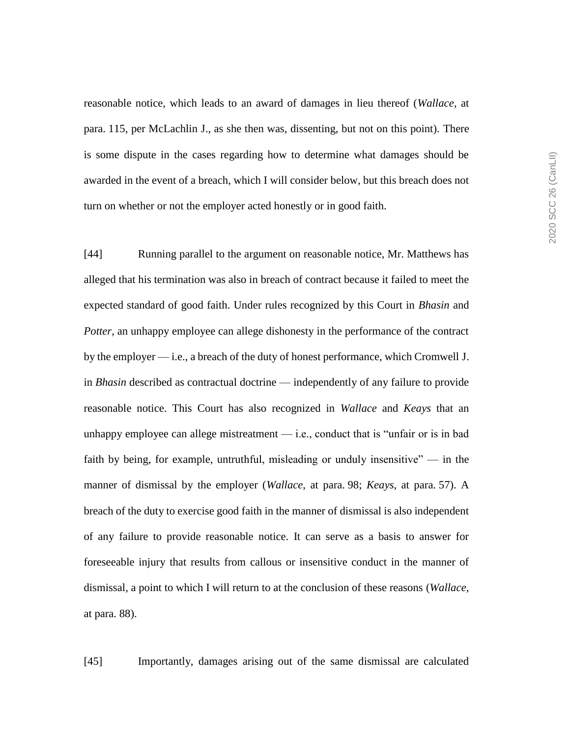reasonable notice, which leads to an award of damages in lieu thereof (*Wallace*, at para. 115, per McLachlin J., as she then was, dissenting, but not on this point). There is some dispute in the cases regarding how to determine what damages should be awarded in the event of a breach, which I will consider below, but this breach does not turn on whether or not the employer acted honestly or in good faith.

[44] Running parallel to the argument on reasonable notice, Mr. Matthews has alleged that his termination was also in breach of contract because it failed to meet the expected standard of good faith. Under rules recognized by this Court in *Bhasin* and *Potter*, an unhappy employee can allege dishonesty in the performance of the contract by the employer — i.e., a breach of the duty of honest performance, which Cromwell J. in *Bhasin* described as contractual doctrine — independently of any failure to provide reasonable notice. This Court has also recognized in *Wallace* and *Keays* that an unhappy employee can allege mistreatment  $-$  i.e., conduct that is "unfair or is in bad faith by being, for example, untruthful, misleading or unduly insensitive" — in the manner of dismissal by the employer (*Wallace*, at para. 98; *Keays*, at para. 57). A breach of the duty to exercise good faith in the manner of dismissal is also independent of any failure to provide reasonable notice. It can serve as a basis to answer for foreseeable injury that results from callous or insensitive conduct in the manner of dismissal, a point to which I will return to at the conclusion of these reasons (*Wallace*, at para. 88).

[45] Importantly, damages arising out of the same dismissal are calculated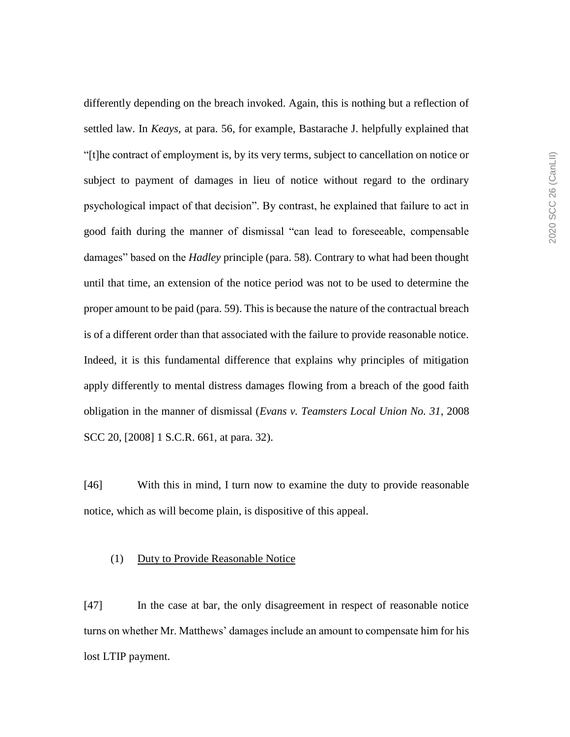differently depending on the breach invoked. Again, this is nothing but a reflection of settled law. In *Keays*, at para. 56, for example, Bastarache J. helpfully explained that "[t]he contract of employment is, by its very terms, subject to cancellation on notice or subject to payment of damages in lieu of notice without regard to the ordinary psychological impact of that decision". By contrast, he explained that failure to act in good faith during the manner of dismissal "can lead to foreseeable, compensable damages" based on the *Hadley* principle (para. 58). Contrary to what had been thought until that time, an extension of the notice period was not to be used to determine the proper amount to be paid (para. 59). This is because the nature of the contractual breach is of a different order than that associated with the failure to provide reasonable notice. Indeed, it is this fundamental difference that explains why principles of mitigation apply differently to mental distress damages flowing from a breach of the good faith obligation in the manner of dismissal (*Evans v. Teamsters Local Union No. 31*, 2008 SCC 20, [2008] 1 S.C.R. 661, at para. 32).

[46] With this in mind, I turn now to examine the duty to provide reasonable notice, which as will become plain, is dispositive of this appeal.

## (1) Duty to Provide Reasonable Notice

[47] In the case at bar, the only disagreement in respect of reasonable notice turns on whether Mr. Matthews' damages include an amount to compensate him for his lost LTIP payment.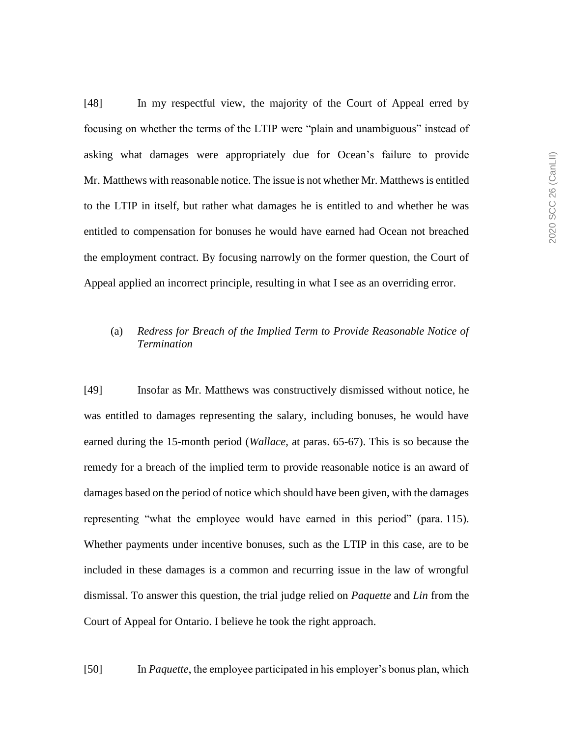[48] In my respectful view, the majority of the Court of Appeal erred by focusing on whether the terms of the LTIP were "plain and unambiguous" instead of asking what damages were appropriately due for Ocean's failure to provide Mr. Matthews with reasonable notice. The issue is not whether Mr. Matthews is entitled to the LTIP in itself, but rather what damages he is entitled to and whether he was entitled to compensation for bonuses he would have earned had Ocean not breached the employment contract. By focusing narrowly on the former question, the Court of Appeal applied an incorrect principle, resulting in what I see as an overriding error.

## (a) *Redress for Breach of the Implied Term to Provide Reasonable Notice of Termination*

[49] Insofar as Mr. Matthews was constructively dismissed without notice, he was entitled to damages representing the salary, including bonuses, he would have earned during the 15-month period (*Wallace*, at paras. 65-67). This is so because the remedy for a breach of the implied term to provide reasonable notice is an award of damages based on the period of notice which should have been given, with the damages representing "what the employee would have earned in this period" (para. 115). Whether payments under incentive bonuses, such as the LTIP in this case, are to be included in these damages is a common and recurring issue in the law of wrongful dismissal. To answer this question, the trial judge relied on *Paquette* and *Lin* from the Court of Appeal for Ontario. I believe he took the right approach.

[50] In *Paquette*, the employee participated in his employer's bonus plan, which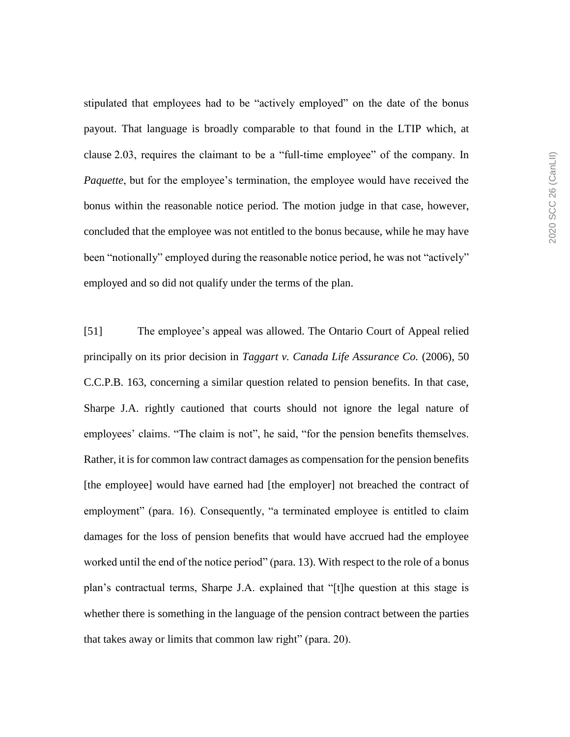stipulated that employees had to be "actively employed" on the date of the bonus payout. That language is broadly comparable to that found in the LTIP which, at clause 2.03, requires the claimant to be a "full-time employee" of the company. In *Paquette*, but for the employee's termination, the employee would have received the bonus within the reasonable notice period. The motion judge in that case, however, concluded that the employee was not entitled to the bonus because, while he may have been "notionally" employed during the reasonable notice period, he was not "actively" employed and so did not qualify under the terms of the plan.

[51] The employee's appeal was allowed. The Ontario Court of Appeal relied principally on its prior decision in *Taggart v. Canada Life Assurance Co.* (2006), 50 C.C.P.B. 163, concerning a similar question related to pension benefits. In that case, Sharpe J.A. rightly cautioned that courts should not ignore the legal nature of employees' claims. "The claim is not", he said, "for the pension benefits themselves. Rather, it is for common law contract damages as compensation for the pension benefits [the employee] would have earned had [the employer] not breached the contract of employment" (para. 16). Consequently, "a terminated employee is entitled to claim damages for the loss of pension benefits that would have accrued had the employee worked until the end of the notice period" (para. 13). With respect to the role of a bonus plan's contractual terms, Sharpe J.A. explained that "[t]he question at this stage is whether there is something in the language of the pension contract between the parties that takes away or limits that common law right" (para. 20).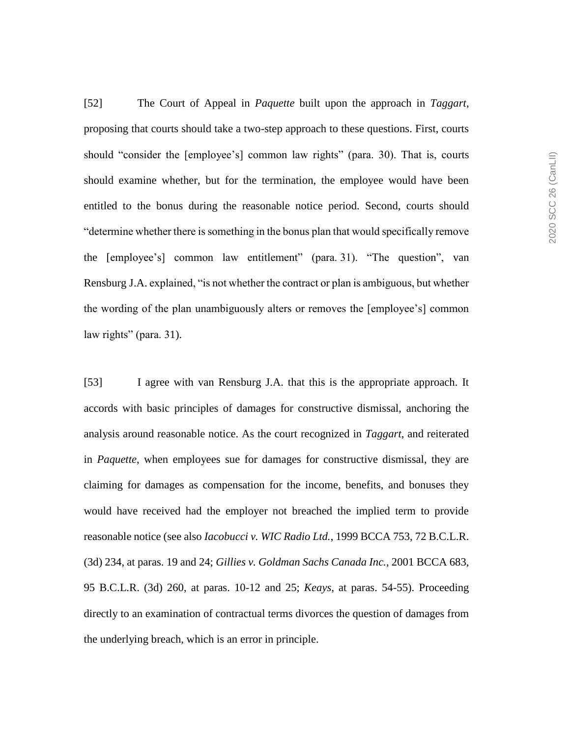[52] The Court of Appeal in *Paquette* built upon the approach in *Taggart*, proposing that courts should take a two-step approach to these questions. First, courts should "consider the [employee's] common law rights" (para. 30). That is, courts should examine whether, but for the termination, the employee would have been entitled to the bonus during the reasonable notice period. Second, courts should "determine whether there is something in the bonus plan that would specifically remove the [employee's] common law entitlement" (para. 31). "The question", van Rensburg J.A. explained, "is not whether the contract or plan is ambiguous, but whether the wording of the plan unambiguously alters or removes the [employee's] common law rights" (para. 31).

[53] I agree with van Rensburg J.A. that this is the appropriate approach. It accords with basic principles of damages for constructive dismissal, anchoring the analysis around reasonable notice. As the court recognized in *Taggart*, and reiterated in *Paquette*, when employees sue for damages for constructive dismissal, they are claiming for damages as compensation for the income, benefits, and bonuses they would have received had the employer not breached the implied term to provide reasonable notice (see also *Iacobucci v. WIC Radio Ltd.*, 1999 BCCA 753, 72 B.C.L.R. (3d) 234, at paras. 19 and 24; *Gillies v. Goldman Sachs Canada Inc.*, 2001 BCCA 683, 95 B.C.L.R. (3d) 260, at paras. 10-12 and 25; *Keays*, at paras. 54-55). Proceeding directly to an examination of contractual terms divorces the question of damages from the underlying breach, which is an error in principle.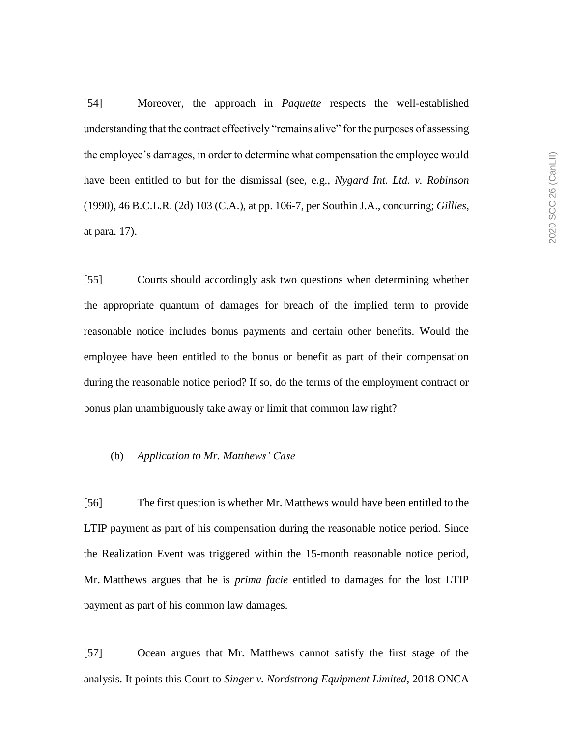[54] Moreover, the approach in *Paquette* respects the well-established understanding that the contract effectively "remains alive" for the purposes of assessing the employee's damages, in order to determine what compensation the employee would have been entitled to but for the dismissal (see, e.g., *Nygard Int. Ltd. v. Robinson* (1990), 46 B.C.L.R. (2d) 103 (C.A.), at pp. 106-7, per Southin J.A., concurring; *Gillies*, at para. 17).

[55] Courts should accordingly ask two questions when determining whether the appropriate quantum of damages for breach of the implied term to provide reasonable notice includes bonus payments and certain other benefits. Would the employee have been entitled to the bonus or benefit as part of their compensation during the reasonable notice period? If so, do the terms of the employment contract or bonus plan unambiguously take away or limit that common law right?

### (b) *Application to Mr. Matthews' Case*

[56] The first question is whether Mr. Matthews would have been entitled to the LTIP payment as part of his compensation during the reasonable notice period. Since the Realization Event was triggered within the 15-month reasonable notice period, Mr. Matthews argues that he is *prima facie* entitled to damages for the lost LTIP payment as part of his common law damages.

[57] Ocean argues that Mr. Matthews cannot satisfy the first stage of the analysis. It points this Court to *Singer v. Nordstrong Equipment Limited*, 2018 ONCA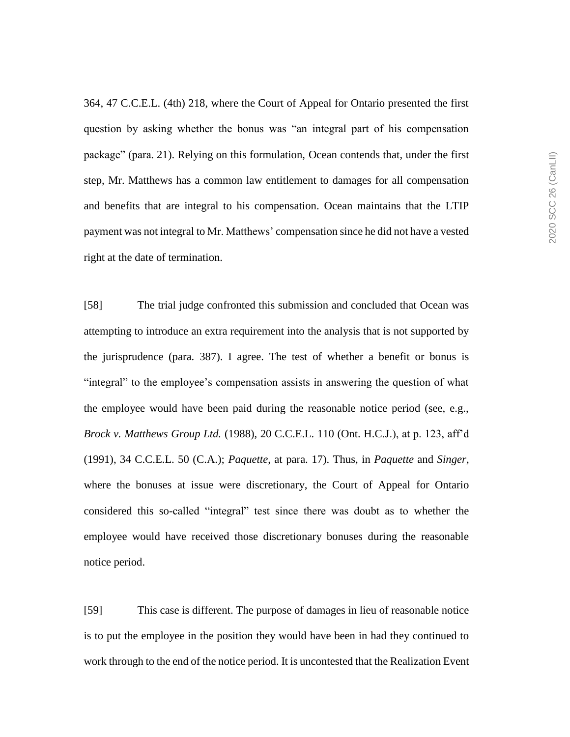364, 47 C.C.E.L. (4th) 218, where the Court of Appeal for Ontario presented the first question by asking whether the bonus was "an integral part of his compensation package" (para. 21). Relying on this formulation, Ocean contends that, under the first step, Mr. Matthews has a common law entitlement to damages for all compensation and benefits that are integral to his compensation. Ocean maintains that the LTIP payment was not integral to Mr. Matthews' compensation since he did not have a vested right at the date of termination.

[58] The trial judge confronted this submission and concluded that Ocean was attempting to introduce an extra requirement into the analysis that is not supported by the jurisprudence (para. 387). I agree. The test of whether a benefit or bonus is "integral" to the employee's compensation assists in answering the question of what the employee would have been paid during the reasonable notice period (see, e.g., *Brock v. Matthews Group Ltd.* (1988), 20 C.C.E.L. 110 (Ont. H.C.J.), at p. 123, aff'd (1991), 34 C.C.E.L. 50 (C.A.); *Paquette*, at para. 17). Thus, in *Paquette* and *Singer*, where the bonuses at issue were discretionary, the Court of Appeal for Ontario considered this so-called "integral" test since there was doubt as to whether the employee would have received those discretionary bonuses during the reasonable notice period.

[59] This case is different. The purpose of damages in lieu of reasonable notice is to put the employee in the position they would have been in had they continued to work through to the end of the notice period. It is uncontested that the Realization Event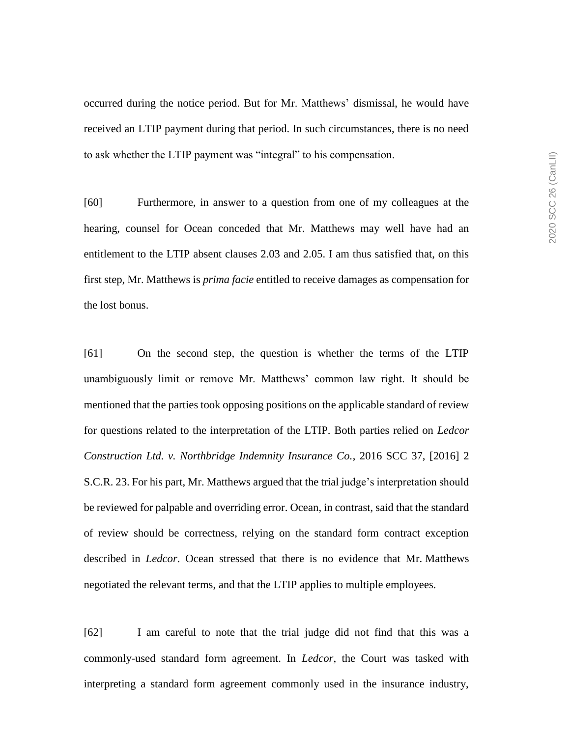occurred during the notice period. But for Mr. Matthews' dismissal, he would have received an LTIP payment during that period. In such circumstances, there is no need to ask whether the LTIP payment was "integral" to his compensation.

[60] Furthermore, in answer to a question from one of my colleagues at the hearing, counsel for Ocean conceded that Mr. Matthews may well have had an entitlement to the LTIP absent clauses 2.03 and 2.05. I am thus satisfied that, on this first step, Mr. Matthews is *prima facie* entitled to receive damages as compensation for the lost bonus.

[61] On the second step, the question is whether the terms of the LTIP unambiguously limit or remove Mr. Matthews' common law right. It should be mentioned that the parties took opposing positions on the applicable standard of review for questions related to the interpretation of the LTIP. Both parties relied on *Ledcor Construction Ltd. v. Northbridge Indemnity Insurance Co.*, 2016 SCC 37, [2016] 2 S.C.R. 23. For his part, Mr. Matthews argued that the trial judge's interpretation should be reviewed for palpable and overriding error. Ocean, in contrast, said that the standard of review should be correctness, relying on the standard form contract exception described in *Ledcor*. Ocean stressed that there is no evidence that Mr. Matthews negotiated the relevant terms, and that the LTIP applies to multiple employees.

[62] I am careful to note that the trial judge did not find that this was a commonly-used standard form agreement. In *Ledcor*, the Court was tasked with interpreting a standard form agreement commonly used in the insurance industry,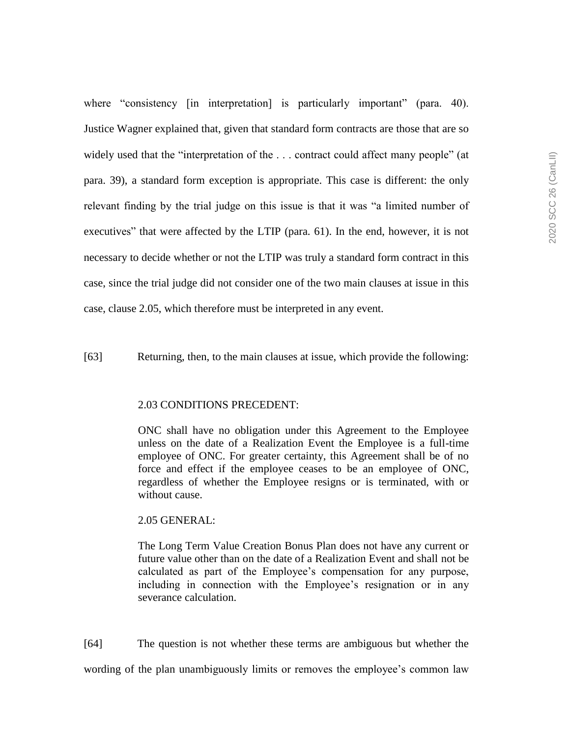where "consistency [in interpretation] is particularly important" (para. 40). Justice Wagner explained that, given that standard form contracts are those that are so widely used that the "interpretation of the ... contract could affect many people" (at para. 39), a standard form exception is appropriate. This case is different: the only relevant finding by the trial judge on this issue is that it was "a limited number of executives" that were affected by the LTIP (para. 61). In the end, however, it is not necessary to decide whether or not the LTIP was truly a standard form contract in this case, since the trial judge did not consider one of the two main clauses at issue in this case, clause 2.05, which therefore must be interpreted in any event.

[63] Returning, then, to the main clauses at issue, which provide the following:

### 2.03 CONDITIONS PRECEDENT:

ONC shall have no obligation under this Agreement to the Employee unless on the date of a Realization Event the Employee is a full-time employee of ONC. For greater certainty, this Agreement shall be of no force and effect if the employee ceases to be an employee of ONC, regardless of whether the Employee resigns or is terminated, with or without cause.

#### 2.05 GENERAL:

The Long Term Value Creation Bonus Plan does not have any current or future value other than on the date of a Realization Event and shall not be calculated as part of the Employee's compensation for any purpose, including in connection with the Employee's resignation or in any severance calculation.

[64] The question is not whether these terms are ambiguous but whether the wording of the plan unambiguously limits or removes the employee's common law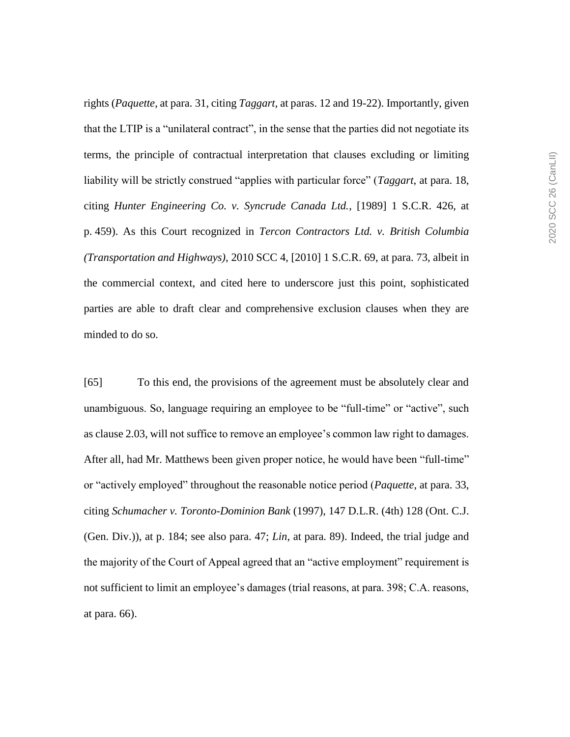rights (*Paquette*, at para. 31, citing *Taggart*, at paras. 12 and 19-22). Importantly, given that the LTIP is a "unilateral contract", in the sense that the parties did not negotiate its terms, the principle of contractual interpretation that clauses excluding or limiting liability will be strictly construed "applies with particular force" (*Taggart*, at para. 18, citing *Hunter Engineering Co. v. Syncrude Canada Ltd.*, [1989] 1 S.C.R. 426, at p. 459). As this Court recognized in *Tercon Contractors Ltd. v. British Columbia (Transportation and Highways)*, 2010 SCC 4, [2010] 1 S.C.R. 69, at para. 73, albeit in the commercial context, and cited here to underscore just this point, sophisticated parties are able to draft clear and comprehensive exclusion clauses when they are minded to do so.

[65] To this end, the provisions of the agreement must be absolutely clear and unambiguous. So, language requiring an employee to be "full-time" or "active", such as clause 2.03, will not suffice to remove an employee's common law right to damages. After all, had Mr. Matthews been given proper notice, he would have been "full-time" or "actively employed" throughout the reasonable notice period (*Paquette*, at para. 33, citing *Schumacher v. Toronto-Dominion Bank* (1997), 147 D.L.R. (4th) 128 (Ont. C.J. (Gen. Div.)), at p. 184; see also para. 47; *Lin*, at para. 89). Indeed, the trial judge and the majority of the Court of Appeal agreed that an "active employment" requirement is not sufficient to limit an employee's damages (trial reasons, at para. 398; C.A. reasons, at para. 66).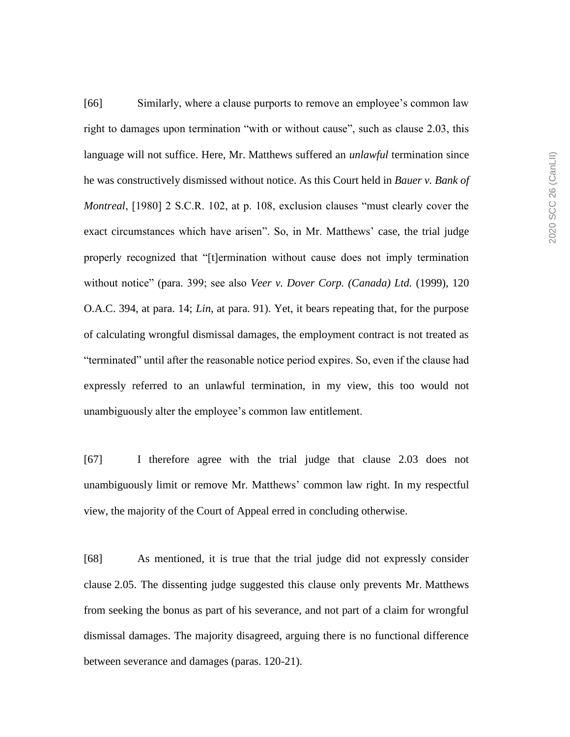[66] Similarly, where a clause purports to remove an employee's common law right to damages upon termination "with or without cause", such as clause 2.03, this language will not suffice. Here, Mr. Matthews suffered an *unlawful* termination since he was constructively dismissed without notice. As this Court held in *Bauer v. Bank of Montreal*, [1980] 2 S.C.R. 102, at p. 108, exclusion clauses "must clearly cover the exact circumstances which have arisen". So, in Mr. Matthews' case, the trial judge properly recognized that "[t]ermination without cause does not imply termination without notice" (para. 399; see also *Veer v. Dover Corp. (Canada) Ltd.* (1999), 120 O.A.C. 394, at para. 14; *Lin*, at para. 91). Yet, it bears repeating that, for the purpose of calculating wrongful dismissal damages, the employment contract is not treated as "terminated" until after the reasonable notice period expires. So, even if the clause had expressly referred to an unlawful termination, in my view, this too would not unambiguously alter the employee's common law entitlement.

[67] I therefore agree with the trial judge that clause 2.03 does not unambiguously limit or remove Mr. Matthews' common law right. In my respectful view, the majority of the Court of Appeal erred in concluding otherwise.

[68] As mentioned, it is true that the trial judge did not expressly consider clause 2.05. The dissenting judge suggested this clause only prevents Mr. Matthews from seeking the bonus as part of his severance, and not part of a claim for wrongful dismissal damages. The majority disagreed, arguing there is no functional difference between severance and damages (paras. 120-21).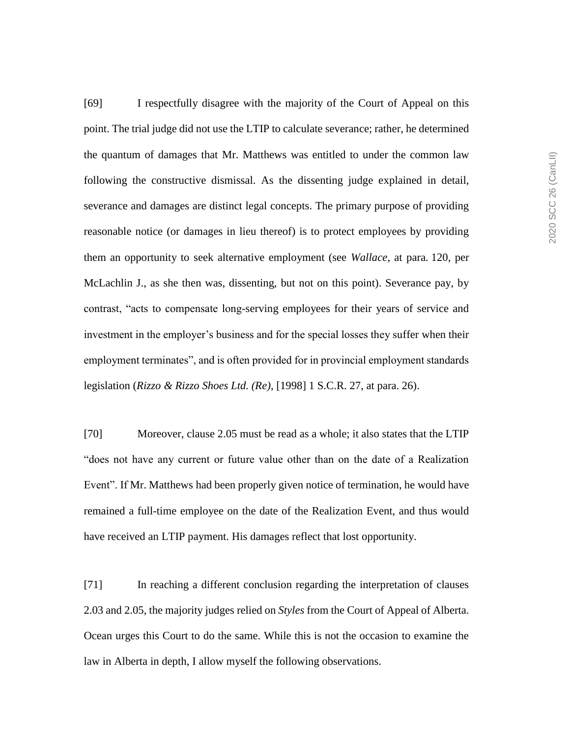[69] I respectfully disagree with the majority of the Court of Appeal on this point. The trial judge did not use the LTIP to calculate severance; rather, he determined the quantum of damages that Mr. Matthews was entitled to under the common law following the constructive dismissal. As the dissenting judge explained in detail, severance and damages are distinct legal concepts. The primary purpose of providing reasonable notice (or damages in lieu thereof) is to protect employees by providing them an opportunity to seek alternative employment (see *Wallace*, at para. 120, per McLachlin J., as she then was, dissenting, but not on this point). Severance pay, by contrast, "acts to compensate long-serving employees for their years of service and investment in the employer's business and for the special losses they suffer when their employment terminates", and is often provided for in provincial employment standards legislation (*Rizzo & Rizzo Shoes Ltd. (Re)*, [1998] 1 S.C.R. 27, at para. 26).

[70] Moreover, clause 2.05 must be read as a whole; it also states that the LTIP "does not have any current or future value other than on the date of a Realization Event". If Mr. Matthews had been properly given notice of termination, he would have remained a full-time employee on the date of the Realization Event, and thus would have received an LTIP payment. His damages reflect that lost opportunity.

[71] In reaching a different conclusion regarding the interpretation of clauses 2.03 and 2.05, the majority judges relied on *Styles* from the Court of Appeal of Alberta. Ocean urges this Court to do the same. While this is not the occasion to examine the law in Alberta in depth, I allow myself the following observations.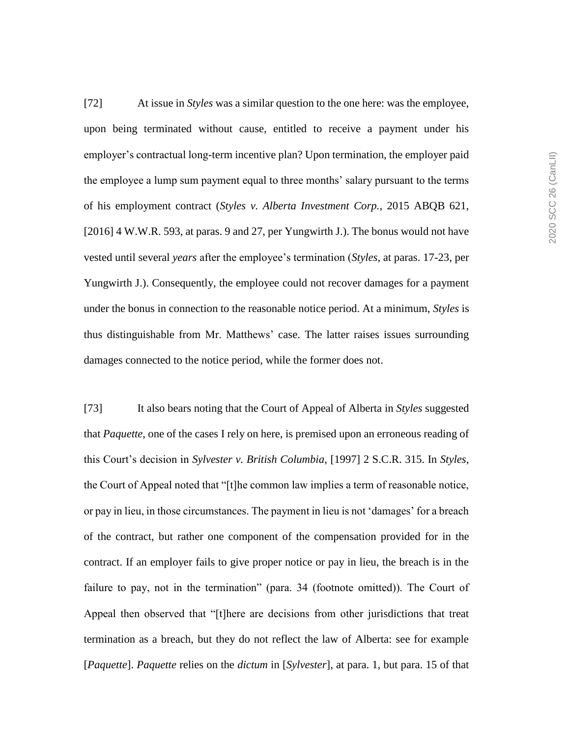[72] At issue in *Styles* was a similar question to the one here: was the employee, upon being terminated without cause, entitled to receive a payment under his employer's contractual long-term incentive plan? Upon termination, the employer paid the employee a lump sum payment equal to three months' salary pursuant to the terms of his employment contract (*Styles v. Alberta Investment Corp.*, 2015 ABQB 621, [2016] 4 W.W.R. 593, at paras. 9 and 27, per Yungwirth J.). The bonus would not have vested until several *years* after the employee's termination (*Styles*, at paras. 17-23, per Yungwirth J.). Consequently, the employee could not recover damages for a payment under the bonus in connection to the reasonable notice period. At a minimum, *Styles* is thus distinguishable from Mr. Matthews' case. The latter raises issues surrounding damages connected to the notice period, while the former does not.

[73] It also bears noting that the Court of Appeal of Alberta in *Styles* suggested that *Paquette*, one of the cases I rely on here, is premised upon an erroneous reading of this Court's decision in *Sylvester v. British Columbia*, [1997] 2 S.C.R. 315. In *Styles*, the Court of Appeal noted that "[t]he common law implies a term of reasonable notice, or pay in lieu, in those circumstances. The payment in lieu is not 'damages' for a breach of the contract, but rather one component of the compensation provided for in the contract. If an employer fails to give proper notice or pay in lieu, the breach is in the failure to pay, not in the termination" (para. 34 (footnote omitted)). The Court of Appeal then observed that "[t]here are decisions from other jurisdictions that treat termination as a breach, but they do not reflect the law of Alberta: see for example [*Paquette*]. *Paquette* relies on the *dictum* in [*Sylvester*], at para. 1, but para. 15 of that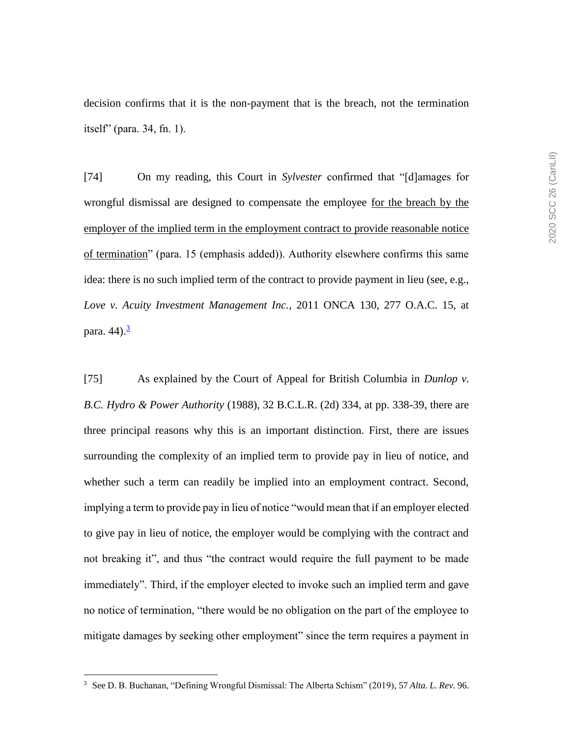decision confirms that it is the non-payment that is the breach, not the termination itself" (para. 34, fn. 1).

[74] On my reading, this Court in *Sylvester* confirmed that "[d]amages for wrongful dismissal are designed to compensate the employee for the breach by the employer of the implied term in the employment contract to provide reasonable notice of termination" (para. 15 (emphasis added)). Authority elsewhere confirms this same idea: there is no such implied term of the contract to provide payment in lieu (see, e.g., *Love v. Acuity Investment Management Inc.*, 2011 ONCA 130, 277 O.A.C. 15, at para.  $44$ ). $<sup>3</sup>$ </sup>

[75] As explained by the Court of Appeal for British Columbia in *Dunlop v. B.C. Hydro & Power Authority* (1988), 32 B.C.L.R. (2d) 334, at pp. 338-39, there are three principal reasons why this is an important distinction. First, there are issues surrounding the complexity of an implied term to provide pay in lieu of notice, and whether such a term can readily be implied into an employment contract. Second, implying a term to provide pay in lieu of notice "would mean that if an employer elected to give pay in lieu of notice, the employer would be complying with the contract and not breaking it", and thus "the contract would require the full payment to be made immediately". Third, if the employer elected to invoke such an implied term and gave no notice of termination, "there would be no obligation on the part of the employee to mitigate damages by seeking other employment" since the term requires a payment in

 $\overline{a}$ 

<sup>3</sup> See D. B. Buchanan, "Defining Wrongful Dismissal: The Alberta Schism" (2019), 57 *Alta. L. Rev.* 96.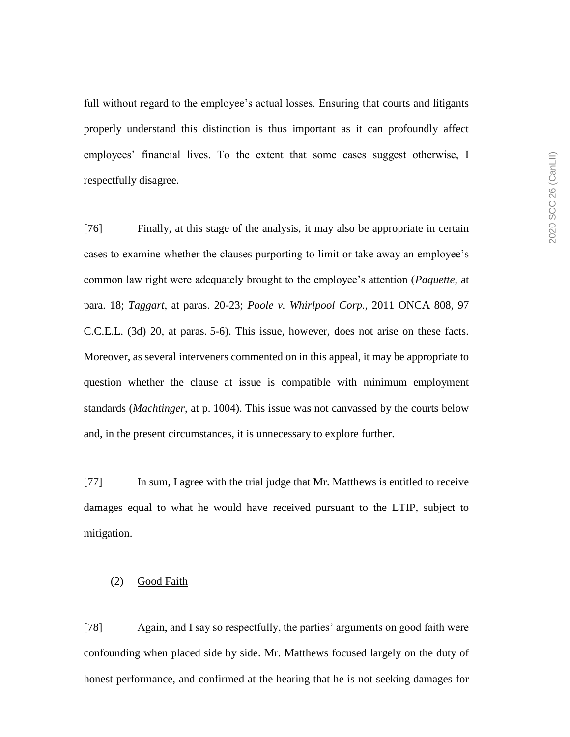full without regard to the employee's actual losses. Ensuring that courts and litigants properly understand this distinction is thus important as it can profoundly affect employees' financial lives. To the extent that some cases suggest otherwise, I respectfully disagree.

[76] Finally, at this stage of the analysis, it may also be appropriate in certain cases to examine whether the clauses purporting to limit or take away an employee's common law right were adequately brought to the employee's attention (*Paquette*, at para. 18; *Taggart*, at paras. 20-23; *Poole v. Whirlpool Corp.*, 2011 ONCA 808, 97 C.C.E.L. (3d) 20, at paras. 5-6). This issue, however, does not arise on these facts. Moreover, as several interveners commented on in this appeal, it may be appropriate to question whether the clause at issue is compatible with minimum employment standards (*Machtinger*, at p. 1004). This issue was not canvassed by the courts below and, in the present circumstances, it is unnecessary to explore further.

[77] In sum, I agree with the trial judge that Mr. Matthews is entitled to receive damages equal to what he would have received pursuant to the LTIP, subject to mitigation.

## (2) Good Faith

[78] Again, and I say so respectfully, the parties' arguments on good faith were confounding when placed side by side. Mr. Matthews focused largely on the duty of honest performance, and confirmed at the hearing that he is not seeking damages for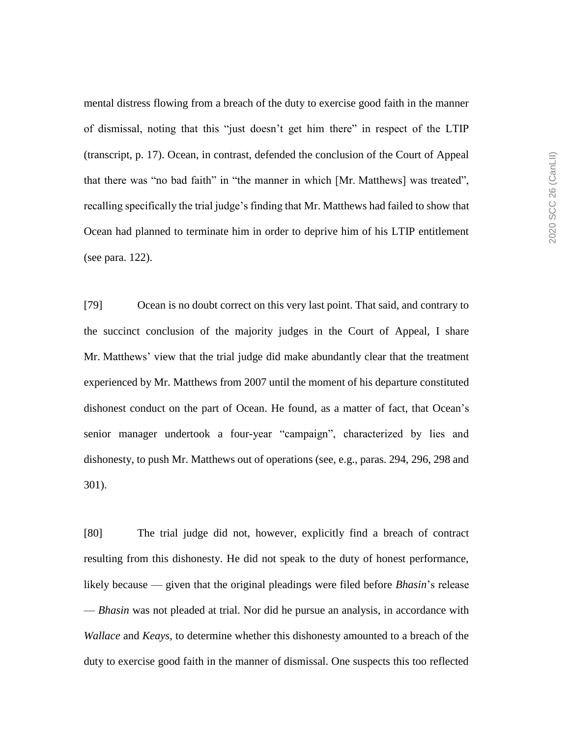mental distress flowing from a breach of the duty to exercise good faith in the manner of dismissal, noting that this "just doesn't get him there" in respect of the LTIP (transcript, p. 17). Ocean, in contrast, defended the conclusion of the Court of Appeal that there was "no bad faith" in "the manner in which [Mr. Matthews] was treated", recalling specifically the trial judge's finding that Mr. Matthews had failed to show that Ocean had planned to terminate him in order to deprive him of his LTIP entitlement (see para. 122).

[79] Ocean is no doubt correct on this very last point. That said, and contrary to the succinct conclusion of the majority judges in the Court of Appeal, I share Mr. Matthews' view that the trial judge did make abundantly clear that the treatment experienced by Mr. Matthews from 2007 until the moment of his departure constituted dishonest conduct on the part of Ocean. He found, as a matter of fact, that Ocean's senior manager undertook a four-year "campaign", characterized by lies and dishonesty, to push Mr. Matthews out of operations (see, e.g., paras. 294, 296, 298 and 301).

[80] The trial judge did not, however, explicitly find a breach of contract resulting from this dishonesty. He did not speak to the duty of honest performance, likely because — given that the original pleadings were filed before *Bhasin*'s release — *Bhasin* was not pleaded at trial. Nor did he pursue an analysis, in accordance with *Wallace* and *Keays*, to determine whether this dishonesty amounted to a breach of the duty to exercise good faith in the manner of dismissal. One suspects this too reflected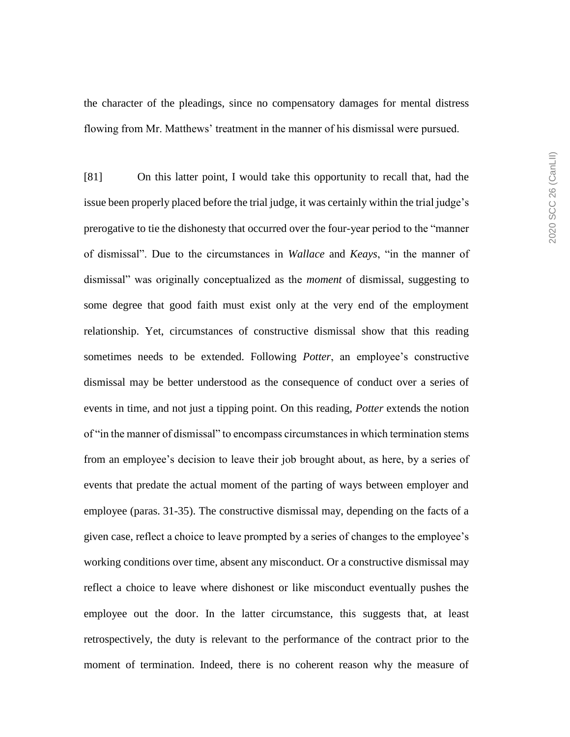the character of the pleadings, since no compensatory damages for mental distress flowing from Mr. Matthews' treatment in the manner of his dismissal were pursued.

[81] On this latter point, I would take this opportunity to recall that, had the issue been properly placed before the trial judge, it was certainly within the trial judge's prerogative to tie the dishonesty that occurred over the four-year period to the "manner of dismissal". Due to the circumstances in *Wallace* and *Keays*, "in the manner of dismissal" was originally conceptualized as the *moment* of dismissal, suggesting to some degree that good faith must exist only at the very end of the employment relationship. Yet, circumstances of constructive dismissal show that this reading sometimes needs to be extended. Following *Potter*, an employee's constructive dismissal may be better understood as the consequence of conduct over a series of events in time, and not just a tipping point. On this reading, *Potter* extends the notion of "in the manner of dismissal" to encompass circumstances in which termination stems from an employee's decision to leave their job brought about, as here, by a series of events that predate the actual moment of the parting of ways between employer and employee (paras. 31-35). The constructive dismissal may, depending on the facts of a given case, reflect a choice to leave prompted by a series of changes to the employee's working conditions over time, absent any misconduct. Or a constructive dismissal may reflect a choice to leave where dishonest or like misconduct eventually pushes the employee out the door. In the latter circumstance, this suggests that, at least retrospectively, the duty is relevant to the performance of the contract prior to the moment of termination. Indeed, there is no coherent reason why the measure of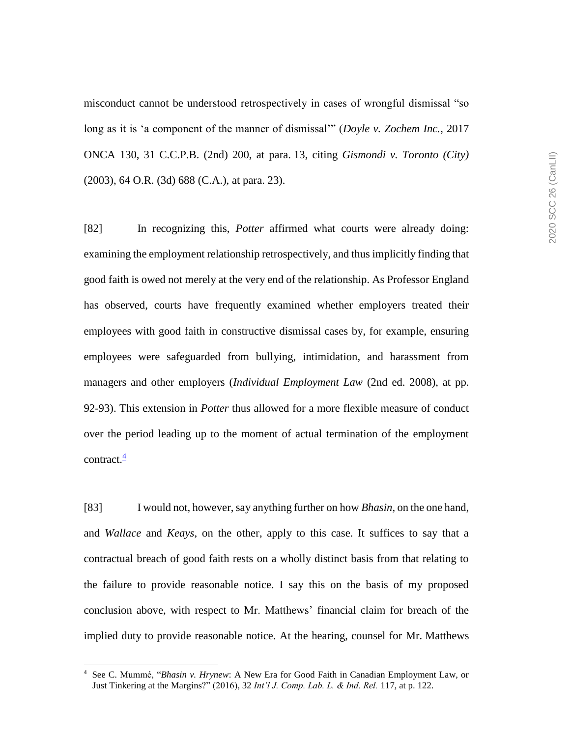misconduct cannot be understood retrospectively in cases of wrongful dismissal "so long as it is 'a component of the manner of dismissal'" (*Doyle v. Zochem Inc.*, 2017 ONCA 130, 31 C.C.P.B. (2nd) 200, at para. 13, citing *Gismondi v. Toronto (City)* (2003), 64 O.R. (3d) 688 (C.A.), at para. 23).

[82] In recognizing this, *Potter* affirmed what courts were already doing: examining the employment relationship retrospectively, and thus implicitly finding that good faith is owed not merely at the very end of the relationship. As Professor England has observed, courts have frequently examined whether employers treated their employees with good faith in constructive dismissal cases by, for example, ensuring employees were safeguarded from bullying, intimidation, and harassment from managers and other employers (*Individual Employment Law* (2nd ed. 2008), at pp. 92-93). This extension in *Potter* thus allowed for a more flexible measure of conduct over the period leading up to the moment of actual termination of the employment contract. $\frac{4}{3}$ 

[83] I would not, however, say anything further on how *Bhasin*, on the one hand, and *Wallace* and *Keays*, on the other, apply to this case. It suffices to say that a contractual breach of good faith rests on a wholly distinct basis from that relating to the failure to provide reasonable notice. I say this on the basis of my proposed conclusion above, with respect to Mr. Matthews' financial claim for breach of the implied duty to provide reasonable notice. At the hearing, counsel for Mr. Matthews

 $\overline{a}$ 

<sup>4</sup> See C. Mummé, "*Bhasin v. Hrynew*: A New Era for Good Faith in Canadian Employment Law, or Just Tinkering at the Margins?" (2016), 32 *Int'l J. Comp. Lab. L. & Ind. Rel.* 117, at p. 122.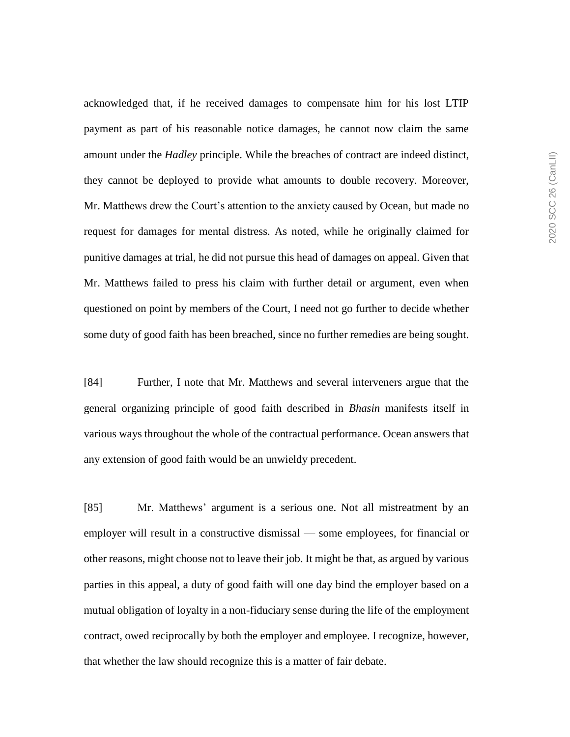acknowledged that, if he received damages to compensate him for his lost LTIP payment as part of his reasonable notice damages, he cannot now claim the same amount under the *Hadley* principle. While the breaches of contract are indeed distinct, they cannot be deployed to provide what amounts to double recovery. Moreover, Mr. Matthews drew the Court's attention to the anxiety caused by Ocean, but made no request for damages for mental distress. As noted, while he originally claimed for punitive damages at trial, he did not pursue this head of damages on appeal. Given that Mr. Matthews failed to press his claim with further detail or argument, even when questioned on point by members of the Court, I need not go further to decide whether some duty of good faith has been breached, since no further remedies are being sought.

[84] Further, I note that Mr. Matthews and several interveners argue that the general organizing principle of good faith described in *Bhasin* manifests itself in various ways throughout the whole of the contractual performance. Ocean answers that any extension of good faith would be an unwieldy precedent.

[85] Mr. Matthews' argument is a serious one. Not all mistreatment by an employer will result in a constructive dismissal — some employees, for financial or other reasons, might choose not to leave their job. It might be that, as argued by various parties in this appeal, a duty of good faith will one day bind the employer based on a mutual obligation of loyalty in a non-fiduciary sense during the life of the employment contract, owed reciprocally by both the employer and employee. I recognize, however, that whether the law should recognize this is a matter of fair debate.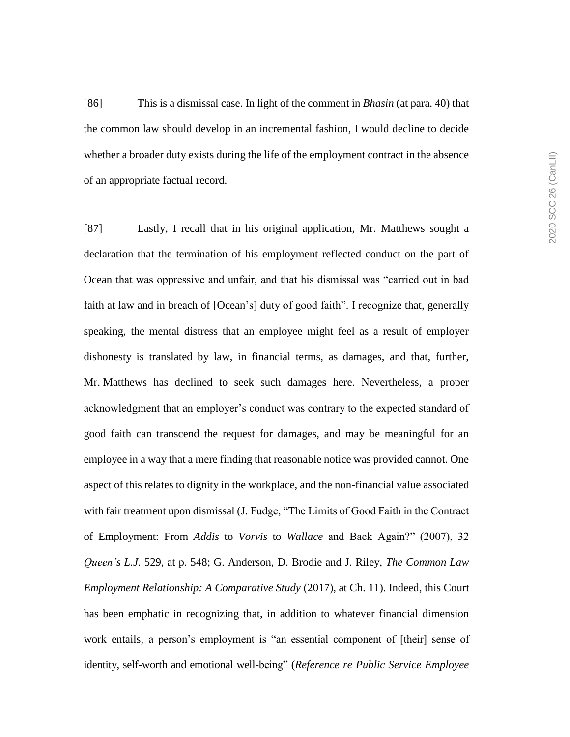[86] This is a dismissal case. In light of the comment in *Bhasin* (at para. 40) that the common law should develop in an incremental fashion, I would decline to decide whether a broader duty exists during the life of the employment contract in the absence of an appropriate factual record.

[87] Lastly, I recall that in his original application, Mr. Matthews sought a declaration that the termination of his employment reflected conduct on the part of Ocean that was oppressive and unfair, and that his dismissal was "carried out in bad faith at law and in breach of [Ocean's] duty of good faith". I recognize that, generally speaking, the mental distress that an employee might feel as a result of employer dishonesty is translated by law, in financial terms, as damages, and that, further, Mr. Matthews has declined to seek such damages here. Nevertheless, a proper acknowledgment that an employer's conduct was contrary to the expected standard of good faith can transcend the request for damages, and may be meaningful for an employee in a way that a mere finding that reasonable notice was provided cannot. One aspect of this relates to dignity in the workplace, and the non-financial value associated with fair treatment upon dismissal (J. Fudge, "The Limits of Good Faith in the Contract of Employment: From *Addis* to *Vorvis* to *Wallace* and Back Again?" (2007), 32 *Queen's L.J.* 529, at p. 548; G. Anderson, D. Brodie and J. Riley, *The Common Law Employment Relationship: A Comparative Study* (2017), at Ch. 11). Indeed, this Court has been emphatic in recognizing that, in addition to whatever financial dimension work entails, a person's employment is "an essential component of [their] sense of identity, self-worth and emotional well-being" (*Reference re Public Service Employee*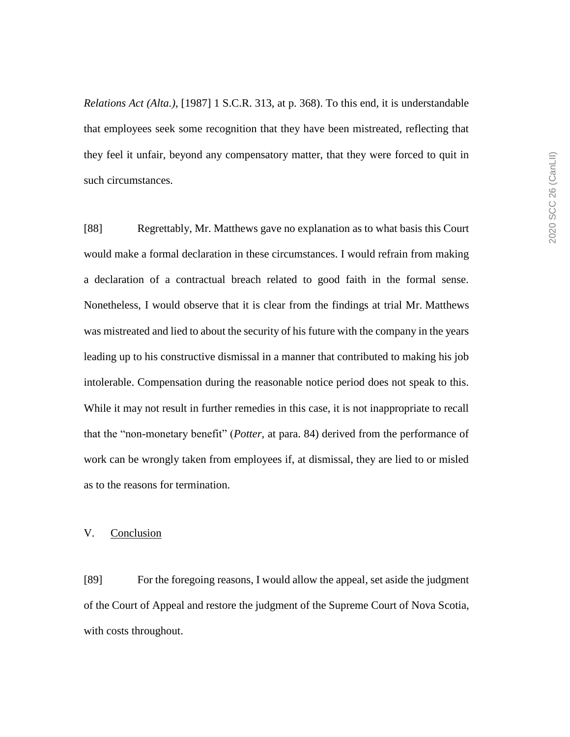*Relations Act (Alta.)*, [1987] 1 S.C.R. 313, at p. 368). To this end, it is understandable that employees seek some recognition that they have been mistreated, reflecting that they feel it unfair, beyond any compensatory matter, that they were forced to quit in such circumstances.

[88] Regrettably, Mr. Matthews gave no explanation as to what basis this Court would make a formal declaration in these circumstances. I would refrain from making a declaration of a contractual breach related to good faith in the formal sense. Nonetheless, I would observe that it is clear from the findings at trial Mr. Matthews was mistreated and lied to about the security of his future with the company in the years leading up to his constructive dismissal in a manner that contributed to making his job intolerable. Compensation during the reasonable notice period does not speak to this. While it may not result in further remedies in this case, it is not inappropriate to recall that the "non-monetary benefit" (*Potter*, at para. 84) derived from the performance of work can be wrongly taken from employees if, at dismissal, they are lied to or misled as to the reasons for termination.

## V. Conclusion

[89] For the foregoing reasons, I would allow the appeal, set aside the judgment of the Court of Appeal and restore the judgment of the Supreme Court of Nova Scotia, with costs throughout.